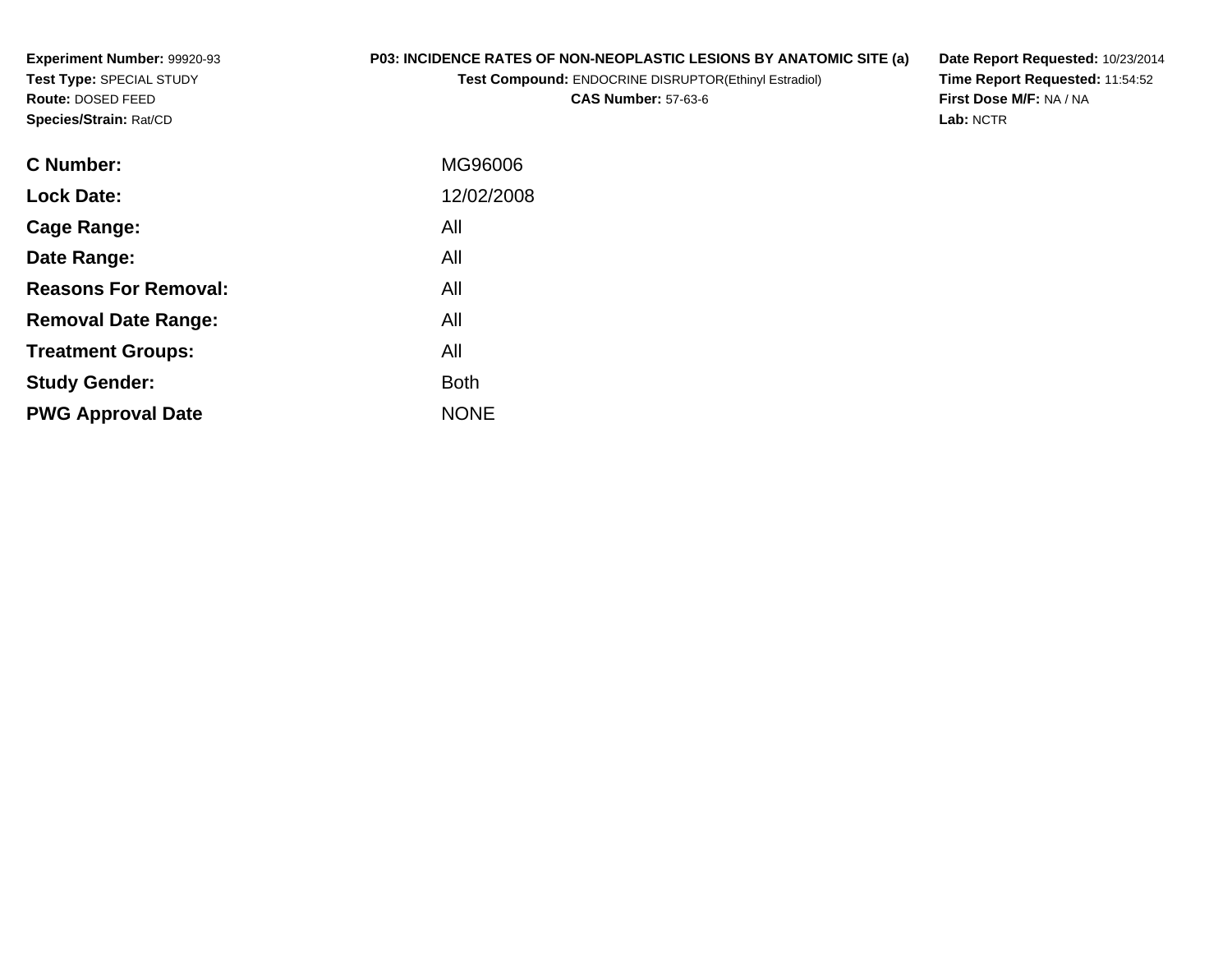**Experiment Number:** 99920-93**Test Type:** SPECIAL STUDY**Route:** DOSED FEED**Species/Strain:** Rat/CD

# **P03: INCIDENCE RATES OF NON-NEOPLASTIC LESIONS BY ANATOMIC SITE (a)**

**Test Compound:** ENDOCRINE DISRUPTOR(Ethinyl Estradiol)

**CAS Number:** 57-63-6

**Date Report Requested:** 10/23/2014 **Time Report Requested:** 11:54:52**First Dose M/F:** NA / NA**Lab:** NCTR

| <b>C</b> Number:            | MG96006     |
|-----------------------------|-------------|
| <b>Lock Date:</b>           | 12/02/2008  |
| Cage Range:                 | All         |
| Date Range:                 | All         |
| <b>Reasons For Removal:</b> | All         |
| <b>Removal Date Range:</b>  | All         |
| <b>Treatment Groups:</b>    | All         |
| <b>Study Gender:</b>        | <b>Both</b> |
| <b>PWG Approval Date</b>    | <b>NONE</b> |
|                             |             |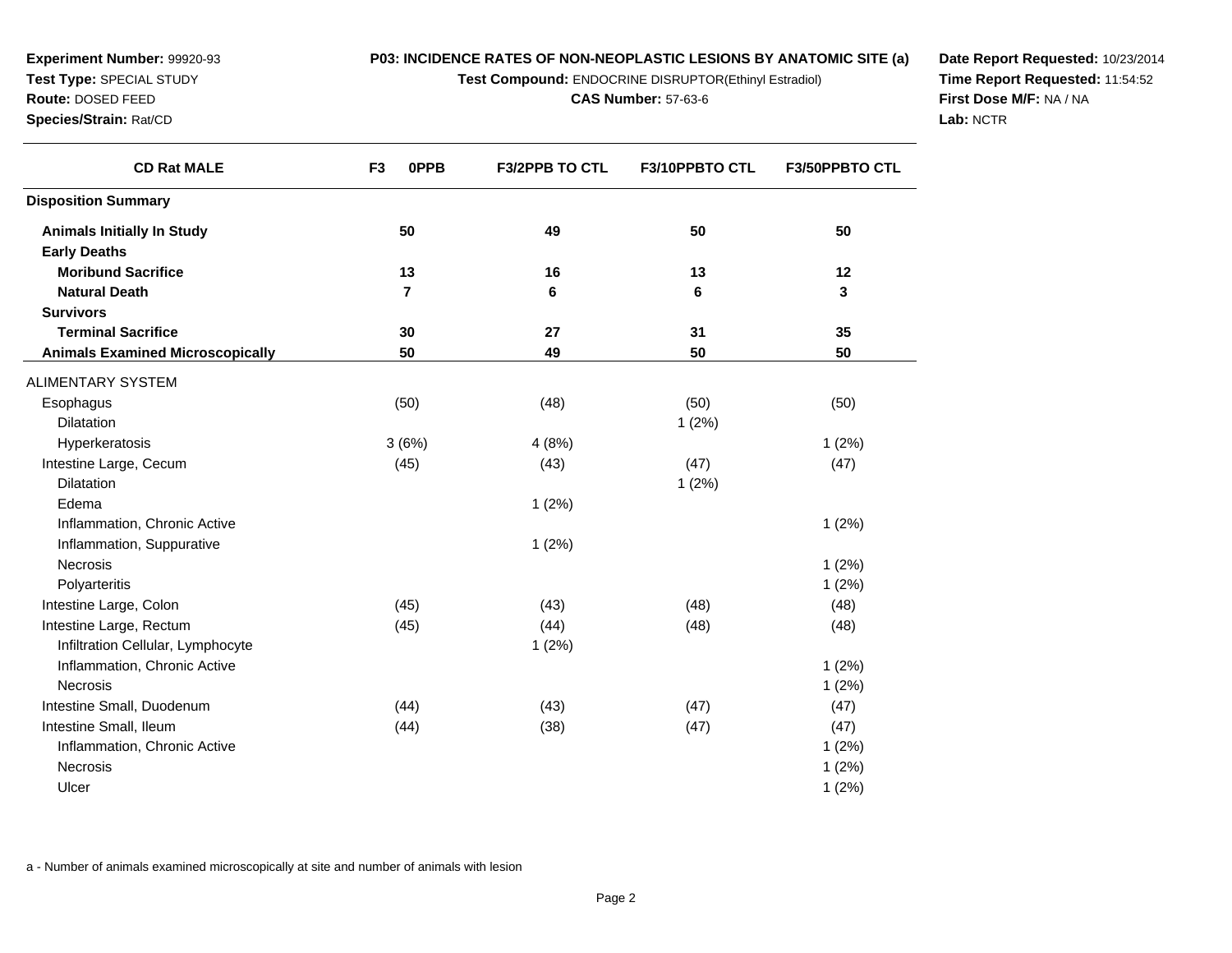**Test Compound:** ENDOCRINE DISRUPTOR(Ethinyl Estradiol)

**F3/2PPB TO CTL F3/10PPBTO CTL F3/50PPBTO CTL**

**CAS Number:** 57-63-6

**<sup>50</sup> <sup>49</sup> <sup>50</sup> <sup>50</sup>**

**<sup>13</sup> <sup>16</sup> <sup>13</sup> <sup>12</sup>**

**<sup>30</sup> <sup>27</sup> <sup>31</sup> <sup>35</sup>**

**<sup>50</sup> <sup>49</sup> <sup>50</sup> <sup>50</sup>**

**<sup>7</sup> <sup>6</sup> <sup>6</sup> <sup>3</sup>**

s (50)  $(50)$   $(48)$   $(50)$   $(50)$ 

**Date Report Requested:** 10/23/2014**Time Report Requested:** 11:54:52**First Dose M/F:** NA / NA**Lab:** NCTR

| <b>Dilatation</b>                                                                        |       |       | 1(2%) |       |
|------------------------------------------------------------------------------------------|-------|-------|-------|-------|
| Hyperkeratosis                                                                           | 3(6%) | 4(8%) |       | 1(2%) |
| Intestine Large, Cecum                                                                   | (45)  | (43)  | (47)  | (47)  |
| <b>Dilatation</b>                                                                        |       |       | 1(2%) |       |
| Edema                                                                                    |       | 1(2%) |       |       |
| Inflammation, Chronic Active                                                             |       |       |       | 1(2%) |
| Inflammation, Suppurative                                                                |       | 1(2%) |       |       |
| <b>Necrosis</b>                                                                          |       |       |       | 1(2%) |
| Polyarteritis                                                                            |       |       |       | 1(2%) |
| Intestine Large, Colon                                                                   | (45)  | (43)  | (48)  | (48)  |
| Intestine Large, Rectum                                                                  | (45)  | (44)  | (48)  | (48)  |
| Infiltration Cellular, Lymphocyte                                                        |       | 1(2%) |       |       |
| Inflammation, Chronic Active                                                             |       |       |       | 1(2%) |
| <b>Necrosis</b>                                                                          |       |       |       | 1(2%) |
| Intestine Small, Duodenum                                                                | (44)  | (43)  | (47)  | (47)  |
| Intestine Small, Ileum                                                                   | (44)  | (38)  | (47)  | (47)  |
| Inflammation, Chronic Active                                                             |       |       |       | 1(2%) |
| Necrosis                                                                                 |       |       |       | 1(2%) |
| Ulcer                                                                                    |       |       |       | 1(2%) |
|                                                                                          |       |       |       |       |
|                                                                                          |       |       |       |       |
|                                                                                          |       |       |       |       |
| a - Number of animals examined microscopically at site and number of animals with lesion |       |       |       |       |

**Experiment Number:** 99920-93**Test Type:** SPECIAL STUDY**Route:** DOSED FEED**Species/Strain:** Rat/CD

**Animals Initially In Study**

**Moribund Sacrifice**

**Terminal Sacrifice**

**Animals Examined Microscopically**

**Natural Death**

ALIMENTARY SYSTEM

**Disposition Summary**

**Early Deaths**

**Survivors**

**Esophagus** 

**CD Rat MALE**

**F3 0PPB**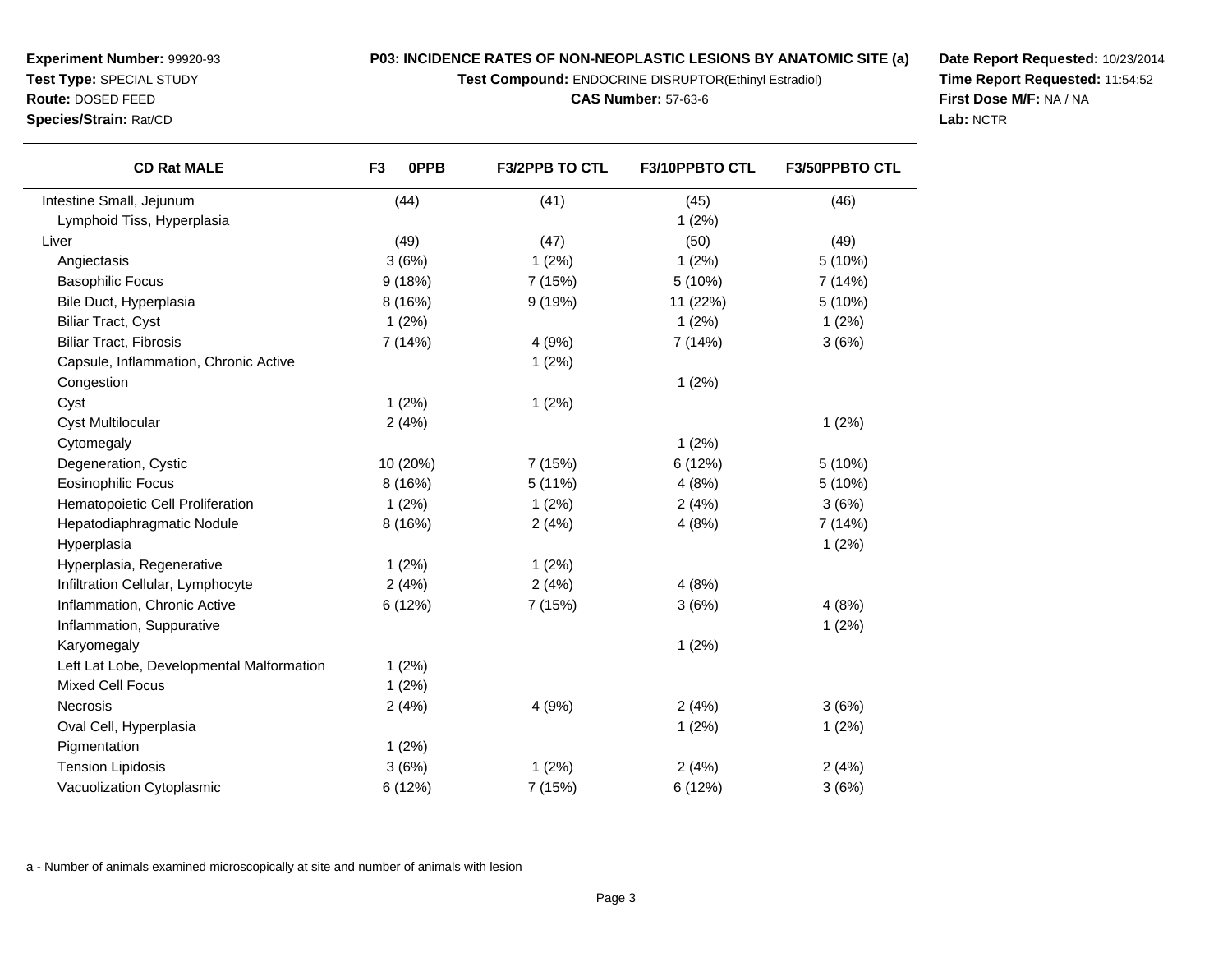**Test Compound:** ENDOCRINE DISRUPTOR(Ethinyl Estradiol)

**CAS Number:** 57-63-6

**Date Report Requested:** 10/23/2014**Time Report Requested:** 11:54:52**First Dose M/F:** NA / NA**Lab:** NCTR

| <b>CD Rat MALE</b>                        | 0PPB<br>F <sub>3</sub> | <b>F3/2PPB TO CTL</b> | F3/10PPBTO CTL | <b>F3/50PPBTO CTL</b> |
|-------------------------------------------|------------------------|-----------------------|----------------|-----------------------|
| Intestine Small, Jejunum                  | (44)                   | (41)                  | (45)           | (46)                  |
| Lymphoid Tiss, Hyperplasia                |                        |                       | 1(2%)          |                       |
| Liver                                     | (49)                   | (47)                  | (50)           | (49)                  |
| Angiectasis                               | 3(6%)                  | 1(2%)                 | 1(2%)          | 5 (10%)               |
| <b>Basophilic Focus</b>                   | 9(18%)                 | 7 (15%)               | 5 (10%)        | 7 (14%)               |
| Bile Duct, Hyperplasia                    | 8 (16%)                | 9(19%)                | 11 (22%)       | 5 (10%)               |
| <b>Biliar Tract, Cyst</b>                 | 1(2%)                  |                       | 1(2%)          | 1(2%)                 |
| <b>Biliar Tract, Fibrosis</b>             | 7 (14%)                | 4(9%)                 | 7 (14%)        | 3(6%)                 |
| Capsule, Inflammation, Chronic Active     |                        | 1(2%)                 |                |                       |
| Congestion                                |                        |                       | 1(2%)          |                       |
| Cyst                                      | 1(2%)                  | 1(2%)                 |                |                       |
| <b>Cyst Multilocular</b>                  | 2(4%)                  |                       |                | 1(2%)                 |
| Cytomegaly                                |                        |                       | 1(2%)          |                       |
| Degeneration, Cystic                      | 10 (20%)               | 7 (15%)               | 6 (12%)        | 5 (10%)               |
| <b>Eosinophilic Focus</b>                 | 8 (16%)                | 5 (11%)               | 4(8%)          | 5(10%)                |
| Hematopoietic Cell Proliferation          | 1(2%)                  | 1(2%)                 | 2(4%)          | 3(6%)                 |
| Hepatodiaphragmatic Nodule                | 8 (16%)                | 2(4%)                 | 4(8%)          | 7 (14%)               |
| Hyperplasia                               |                        |                       |                | 1(2%)                 |
| Hyperplasia, Regenerative                 | 1(2%)                  | 1(2%)                 |                |                       |
| Infiltration Cellular, Lymphocyte         | 2(4%)                  | 2(4%)                 | 4(8%)          |                       |
| Inflammation, Chronic Active              | 6 (12%)                | 7 (15%)               | 3(6%)          | 4(8%)                 |
| Inflammation, Suppurative                 |                        |                       |                | 1(2%)                 |
| Karyomegaly                               |                        |                       | 1(2%)          |                       |
| Left Lat Lobe, Developmental Malformation | 1(2%)                  |                       |                |                       |
| <b>Mixed Cell Focus</b>                   | 1(2%)                  |                       |                |                       |
| Necrosis                                  | 2(4%)                  | 4 (9%)                | 2(4%)          | 3(6%)                 |
| Oval Cell, Hyperplasia                    |                        |                       | 1(2%)          | 1(2%)                 |
| Pigmentation                              | 1(2%)                  |                       |                |                       |
| <b>Tension Lipidosis</b>                  | 3(6%)                  | 1(2%)                 | 2(4%)          | 2(4%)                 |
| Vacuolization Cytoplasmic                 | 6 (12%)                | 7 (15%)               | 6 (12%)        | 3(6%)                 |
|                                           |                        |                       |                |                       |

a - Number of animals examined microscopically at site and number of animals with lesion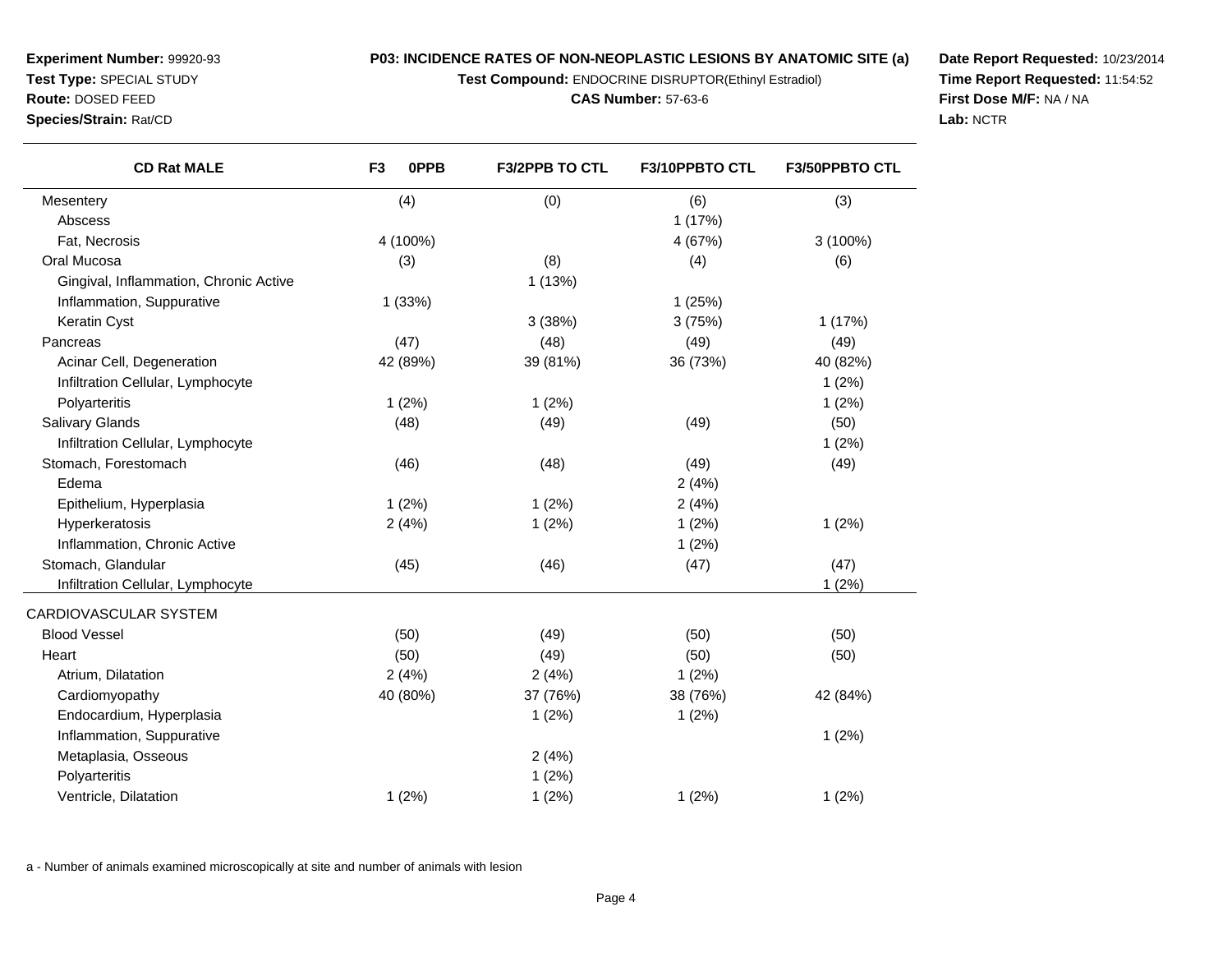**Test Compound:** ENDOCRINE DISRUPTOR(Ethinyl Estradiol)

**Date Report Requested:** 10/23/2014**Time Report Requested:** 11:54:52**First Dose M/F:** NA / NA**Lab:** NCTR

| <b>CD Rat MALE</b>                     | F <sub>3</sub><br>0PPB | F3/2PPB TO CTL | F3/10PPBTO CTL | F3/50PPBTO CTL |
|----------------------------------------|------------------------|----------------|----------------|----------------|
| Mesentery                              | (4)                    | (0)            | (6)            | (3)            |
| Abscess                                |                        |                | 1(17%)         |                |
| Fat, Necrosis                          | 4 (100%)               |                | 4 (67%)        | 3 (100%)       |
| Oral Mucosa                            | (3)                    | (8)            | (4)            | (6)            |
| Gingival, Inflammation, Chronic Active |                        | 1(13%)         |                |                |
| Inflammation, Suppurative              | 1(33%)                 |                | 1(25%)         |                |
| Keratin Cyst                           |                        | 3(38%)         | 3(75%)         | 1(17%)         |
| Pancreas                               | (47)                   | (48)           | (49)           | (49)           |
| Acinar Cell, Degeneration              | 42 (89%)               | 39 (81%)       | 36 (73%)       | 40 (82%)       |
| Infiltration Cellular, Lymphocyte      |                        |                |                | 1(2%)          |
| Polyarteritis                          | 1(2%)                  | 1(2%)          |                | 1(2%)          |
| <b>Salivary Glands</b>                 | (48)                   | (49)           | (49)           | (50)           |
| Infiltration Cellular, Lymphocyte      |                        |                |                | 1(2%)          |
| Stomach, Forestomach                   | (46)                   | (48)           | (49)           | (49)           |
| Edema                                  |                        |                | 2(4%)          |                |
| Epithelium, Hyperplasia                | 1(2%)                  | 1(2%)          | 2(4%)          |                |
| Hyperkeratosis                         | 2(4%)                  | 1(2%)          | 1(2%)          | 1(2%)          |
| Inflammation, Chronic Active           |                        |                | 1(2%)          |                |
| Stomach, Glandular                     | (45)                   | (46)           | (47)           | (47)           |
| Infiltration Cellular, Lymphocyte      |                        |                |                | 1(2%)          |
| CARDIOVASCULAR SYSTEM                  |                        |                |                |                |
| <b>Blood Vessel</b>                    | (50)                   | (49)           | (50)           | (50)           |
| Heart                                  | (50)                   | (49)           | (50)           | (50)           |
| Atrium, Dilatation                     | 2(4%)                  | 2(4%)          | 1(2%)          |                |
| Cardiomyopathy                         | 40 (80%)               | 37 (76%)       | 38 (76%)       | 42 (84%)       |
| Endocardium, Hyperplasia               |                        | 1(2%)          | 1(2%)          |                |
| Inflammation, Suppurative              |                        |                |                | 1(2%)          |
| Metaplasia, Osseous                    |                        | 2(4%)          |                |                |
| Polyarteritis                          |                        | 1(2%)          |                |                |
| Ventricle, Dilatation                  | 1(2%)                  | 1(2%)          | 1(2%)          | 1(2%)          |
|                                        |                        |                |                |                |

a - Number of animals examined microscopically at site and number of animals with lesion

**Experiment Number:** 99920-93**Test Type:** SPECIAL STUDY**Route:** DOSED FEED**Species/Strain:** Rat/CD

 $\overline{\phantom{0}}$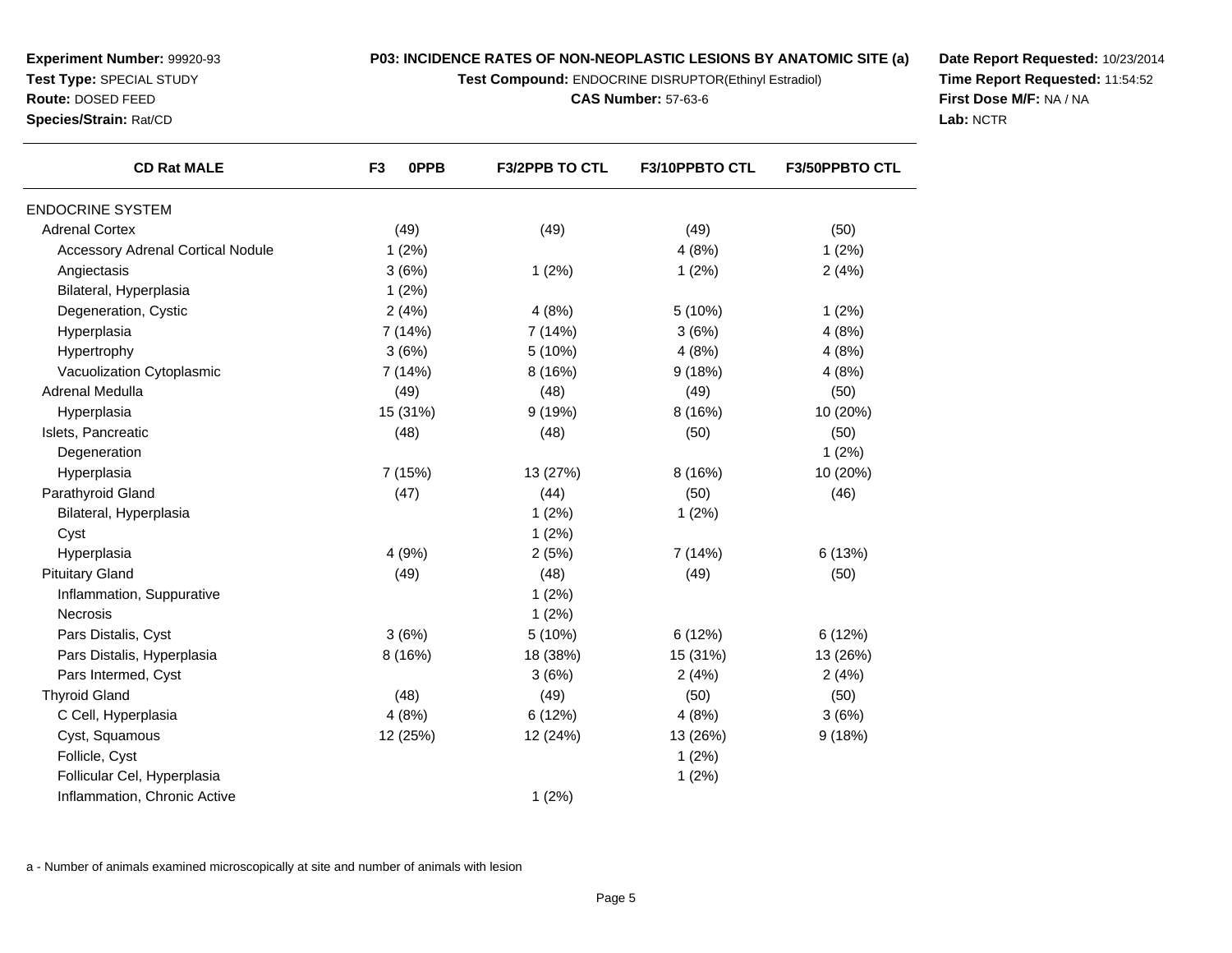**Test Compound:** ENDOCRINE DISRUPTOR(Ethinyl Estradiol)

**CAS Number:** 57-63-6

**Date Report Requested:** 10/23/2014**Time Report Requested:** 11:54:52**First Dose M/F:** NA / NA**Lab:** NCTR

| <b>CD Rat MALE</b>                       | F <sub>3</sub><br><b>OPPB</b> | <b>F3/2PPB TO CTL</b> | F3/10PPBTO CTL | <b>F3/50PPBTO CTL</b> |
|------------------------------------------|-------------------------------|-----------------------|----------------|-----------------------|
| <b>ENDOCRINE SYSTEM</b>                  |                               |                       |                |                       |
| <b>Adrenal Cortex</b>                    | (49)                          | (49)                  | (49)           | (50)                  |
| <b>Accessory Adrenal Cortical Nodule</b> | 1(2%)                         |                       | 4(8%)          | 1(2%)                 |
| Angiectasis                              | 3(6%)                         | 1(2%)                 | 1(2%)          | 2(4%)                 |
| Bilateral, Hyperplasia                   | 1(2%)                         |                       |                |                       |
| Degeneration, Cystic                     | 2(4%)                         | 4(8%)                 | 5(10%)         | 1(2%)                 |
| Hyperplasia                              | 7 (14%)                       | 7(14%)                | 3(6%)          | 4(8%)                 |
| Hypertrophy                              | 3(6%)                         | 5 (10%)               | 4(8%)          | 4(8%)                 |
| Vacuolization Cytoplasmic                | 7 (14%)                       | 8(16%)                | 9(18%)         | 4(8%)                 |
| Adrenal Medulla                          | (49)                          | (48)                  | (49)           | (50)                  |
| Hyperplasia                              | 15 (31%)                      | 9(19%)                | 8 (16%)        | 10 (20%)              |
| Islets, Pancreatic                       | (48)                          | (48)                  | (50)           | (50)                  |
| Degeneration                             |                               |                       |                | 1(2%)                 |
| Hyperplasia                              | 7 (15%)                       | 13 (27%)              | 8(16%)         | 10 (20%)              |
| Parathyroid Gland                        | (47)                          | (44)                  | (50)           | (46)                  |
| Bilateral, Hyperplasia                   |                               | 1(2%)                 | 1(2%)          |                       |
| Cyst                                     |                               | 1(2%)                 |                |                       |
| Hyperplasia                              | 4(9%)                         | 2(5%)                 | 7(14%)         | 6(13%)                |
| <b>Pituitary Gland</b>                   | (49)                          | (48)                  | (49)           | (50)                  |
| Inflammation, Suppurative                |                               | 1(2%)                 |                |                       |
| <b>Necrosis</b>                          |                               | 1(2%)                 |                |                       |
| Pars Distalis, Cyst                      | 3(6%)                         | 5(10%)                | 6(12%)         | 6(12%)                |
| Pars Distalis, Hyperplasia               | 8 (16%)                       | 18 (38%)              | 15 (31%)       | 13 (26%)              |
| Pars Intermed, Cyst                      |                               | 3(6%)                 | 2(4%)          | 2(4%)                 |
| <b>Thyroid Gland</b>                     | (48)                          | (49)                  | (50)           | (50)                  |
| C Cell, Hyperplasia                      | 4(8%)                         | 6(12%)                | 4(8%)          | 3(6%)                 |
| Cyst, Squamous                           | 12 (25%)                      | 12 (24%)              | 13 (26%)       | 9(18%)                |
| Follicle, Cyst                           |                               |                       | 1(2%)          |                       |
| Follicular Cel, Hyperplasia              |                               |                       | 1(2%)          |                       |
| Inflammation, Chronic Active             |                               | 1(2%)                 |                |                       |

a - Number of animals examined microscopically at site and number of animals with lesion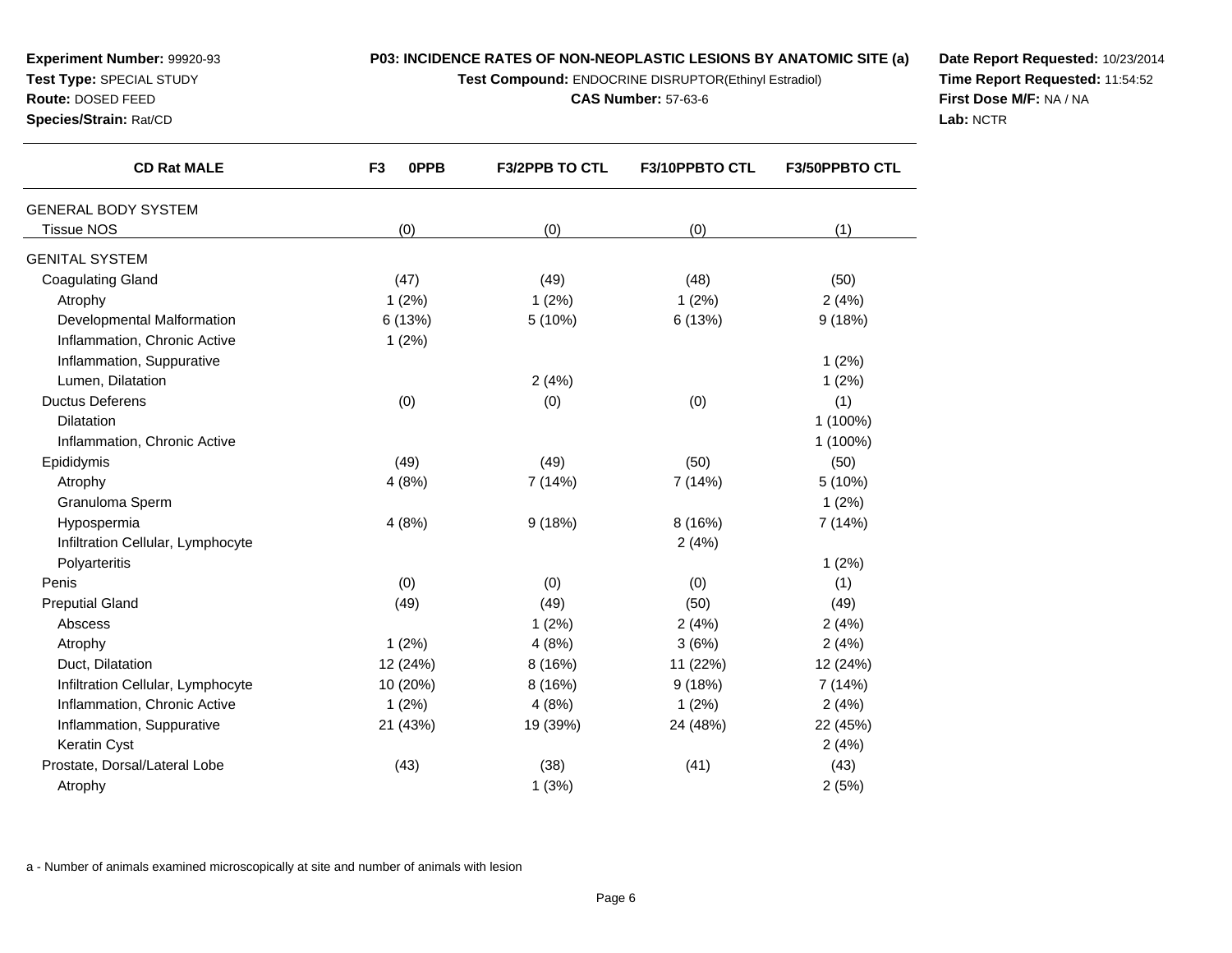**Test Compound:** ENDOCRINE DISRUPTOR(Ethinyl Estradiol)

**CAS Number:** 57-63-6

**Date Report Requested:** 10/23/2014**Time Report Requested:** 11:54:52**First Dose M/F:** NA / NA**Lab:** NCTR

| <b>CD Rat MALE</b>                | F <sub>3</sub><br><b>OPPB</b> | <b>F3/2PPB TO CTL</b> | F3/10PPBTO CTL | <b>F3/50PPBTO CTL</b> |
|-----------------------------------|-------------------------------|-----------------------|----------------|-----------------------|
| <b>GENERAL BODY SYSTEM</b>        |                               |                       |                |                       |
| <b>Tissue NOS</b>                 | (0)                           | (0)                   | (0)            | (1)                   |
| <b>GENITAL SYSTEM</b>             |                               |                       |                |                       |
| <b>Coagulating Gland</b>          | (47)                          | (49)                  | (48)           | (50)                  |
| Atrophy                           | 1(2%)                         | 1(2%)                 | 1(2%)          | 2(4%)                 |
| Developmental Malformation        | 6 (13%)                       | 5 (10%)               | 6 (13%)        | 9(18%)                |
| Inflammation, Chronic Active      | 1(2%)                         |                       |                |                       |
| Inflammation, Suppurative         |                               |                       |                | 1(2%)                 |
| Lumen, Dilatation                 |                               | 2(4%)                 |                | 1(2%)                 |
| <b>Ductus Deferens</b>            | (0)                           | (0)                   | (0)            | (1)                   |
| <b>Dilatation</b>                 |                               |                       |                | 1 (100%)              |
| Inflammation, Chronic Active      |                               |                       |                | 1 (100%)              |
| Epididymis                        | (49)                          | (49)                  | (50)           | (50)                  |
| Atrophy                           | 4(8%)                         | 7 (14%)               | 7 (14%)        | 5 (10%)               |
| Granuloma Sperm                   |                               |                       |                | 1(2%)                 |
| Hypospermia                       | 4(8%)                         | 9(18%)                | 8 (16%)        | 7 (14%)               |
| Infiltration Cellular, Lymphocyte |                               |                       | 2(4%)          |                       |
| Polyarteritis                     |                               |                       |                | 1(2%)                 |
| Penis                             | (0)                           | (0)                   | (0)            | (1)                   |
| <b>Preputial Gland</b>            | (49)                          | (49)                  | (50)           | (49)                  |
| Abscess                           |                               | 1(2%)                 | 2(4%)          | 2(4%)                 |
| Atrophy                           | 1(2%)                         | 4(8%)                 | 3(6%)          | 2(4%)                 |
| Duct, Dilatation                  | 12 (24%)                      | 8(16%)                | 11 (22%)       | 12 (24%)              |
| Infiltration Cellular, Lymphocyte | 10 (20%)                      | 8(16%)                | 9(18%)         | 7 (14%)               |
| Inflammation, Chronic Active      | 1(2%)                         | 4(8%)                 | 1(2%)          | 2(4%)                 |
| Inflammation, Suppurative         | 21 (43%)                      | 19 (39%)              | 24 (48%)       | 22 (45%)              |
| Keratin Cyst                      |                               |                       |                | 2(4%)                 |
| Prostate, Dorsal/Lateral Lobe     | (43)                          | (38)                  | (41)           | (43)                  |
| Atrophy                           |                               | 1(3%)                 |                | 2(5%)                 |
|                                   |                               |                       |                |                       |

a - Number of animals examined microscopically at site and number of animals with lesion

**Experiment Number:** 99920-93**Test Type:** SPECIAL STUDY**Route:** DOSED FEED**Species/Strain:** Rat/CD

 $\overline{\phantom{0}}$ 

 $\overline{\phantom{0}}$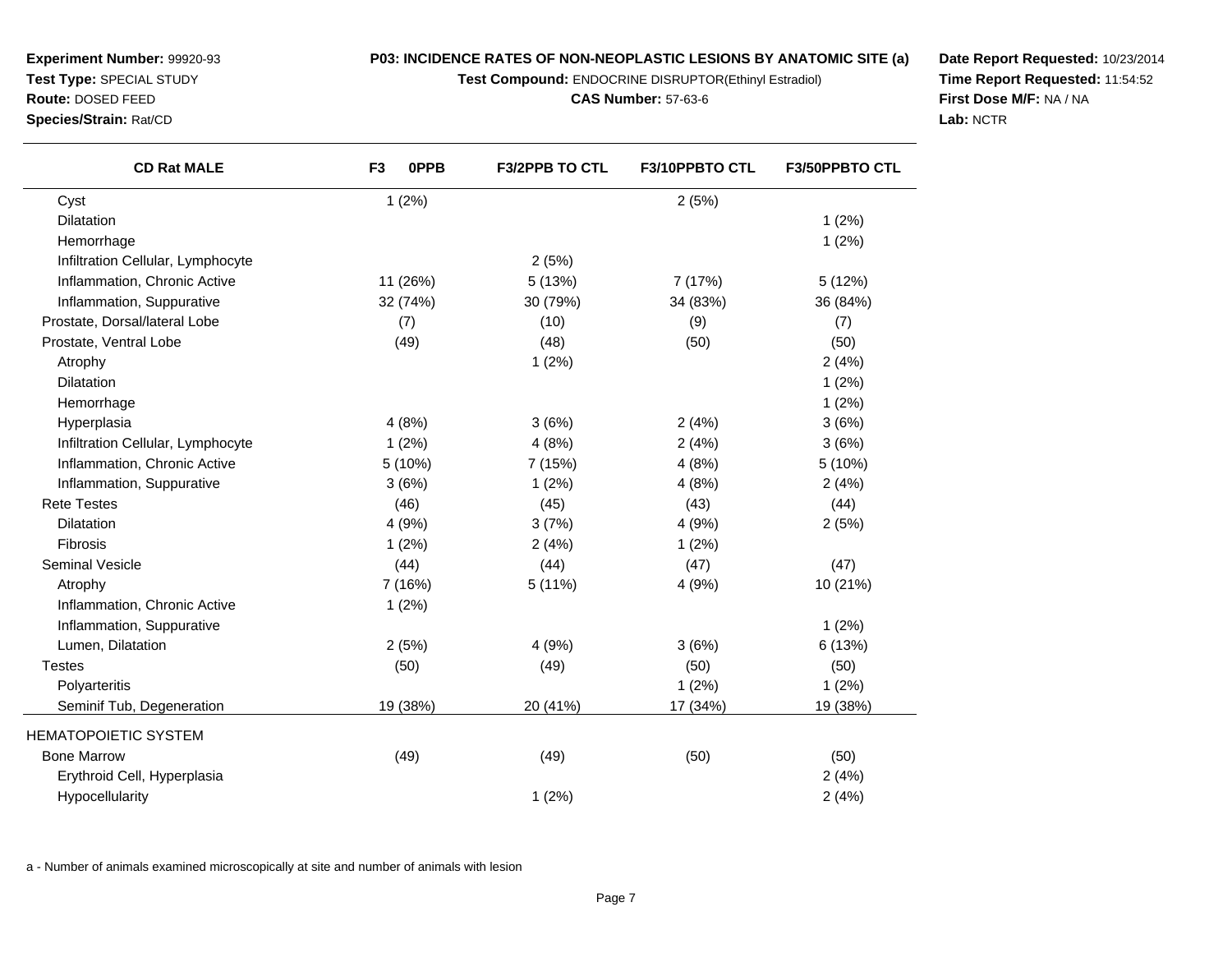**Test Compound:** ENDOCRINE DISRUPTOR(Ethinyl Estradiol)

#### **CAS Number:** 57-63-6

**Date Report Requested:** 10/23/2014**Time Report Requested:** 11:54:52**First Dose M/F:** NA / NA**Lab:** NCTR

| <b>CD Rat MALE</b>                | 0PPB<br>F <sub>3</sub> | <b>F3/2PPB TO CTL</b> | <b>F3/10PPBTO CTL</b> | <b>F3/50PPBTO CTL</b> |
|-----------------------------------|------------------------|-----------------------|-----------------------|-----------------------|
| Cyst                              | 1(2%)                  |                       | 2(5%)                 |                       |
| Dilatation                        |                        |                       |                       | 1(2%)                 |
| Hemorrhage                        |                        |                       |                       | 1(2%)                 |
| Infiltration Cellular, Lymphocyte |                        | 2(5%)                 |                       |                       |
| Inflammation, Chronic Active      | 11 (26%)               | 5(13%)                | 7 (17%)               | 5(12%)                |
| Inflammation, Suppurative         | 32 (74%)               | 30 (79%)              | 34 (83%)              | 36 (84%)              |
| Prostate, Dorsal/lateral Lobe     | (7)                    | (10)                  | (9)                   | (7)                   |
| Prostate, Ventral Lobe            | (49)                   | (48)                  | (50)                  | (50)                  |
| Atrophy                           |                        | 1(2%)                 |                       | 2(4%)                 |
| <b>Dilatation</b>                 |                        |                       |                       | 1(2%)                 |
| Hemorrhage                        |                        |                       |                       | 1(2%)                 |
| Hyperplasia                       | 4(8%)                  | 3(6%)                 | 2(4%)                 | 3(6%)                 |
| Infiltration Cellular, Lymphocyte | 1(2%)                  | 4(8%)                 | 2(4%)                 | 3(6%)                 |
| Inflammation, Chronic Active      | 5 (10%)                | 7 (15%)               | 4(8%)                 | 5 (10%)               |
| Inflammation, Suppurative         | 3(6%)                  | 1(2%)                 | 4(8%)                 | 2(4%)                 |
| <b>Rete Testes</b>                | (46)                   | (45)                  | (43)                  | (44)                  |
| <b>Dilatation</b>                 | 4 (9%)                 | 3(7%)                 | 4(9%)                 | 2(5%)                 |
| <b>Fibrosis</b>                   | 1(2%)                  | 2(4%)                 | 1(2%)                 |                       |
| Seminal Vesicle                   | (44)                   | (44)                  | (47)                  | (47)                  |
| Atrophy                           | 7 (16%)                | 5(11%)                | 4 (9%)                | 10 (21%)              |
| Inflammation, Chronic Active      | 1(2%)                  |                       |                       |                       |
| Inflammation, Suppurative         |                        |                       |                       | 1(2%)                 |
| Lumen, Dilatation                 | 2(5%)                  | 4 (9%)                | 3(6%)                 | 6 (13%)               |
| <b>Testes</b>                     | (50)                   | (49)                  | (50)                  | (50)                  |
| Polyarteritis                     |                        |                       | 1(2%)                 | 1(2%)                 |
| Seminif Tub, Degeneration         | 19 (38%)               | 20 (41%)              | 17 (34%)              | 19 (38%)              |

w (49) (49) (49) (50) (50)

y and  $1(2%)$  2(4%)

a and  $2(4\%)$ 

a - Number of animals examined microscopically at site and number of animals with lesion

**Test Type:** SPECIAL STUDY

HEMATOPOIETIC SYSTEM

Hypocellularity

Erythroid Cell, Hyperplasia

Bone Marrow

**Route:** DOSED FEED

**Species/Strain:** Rat/CD

**Experiment Number:** 99920-93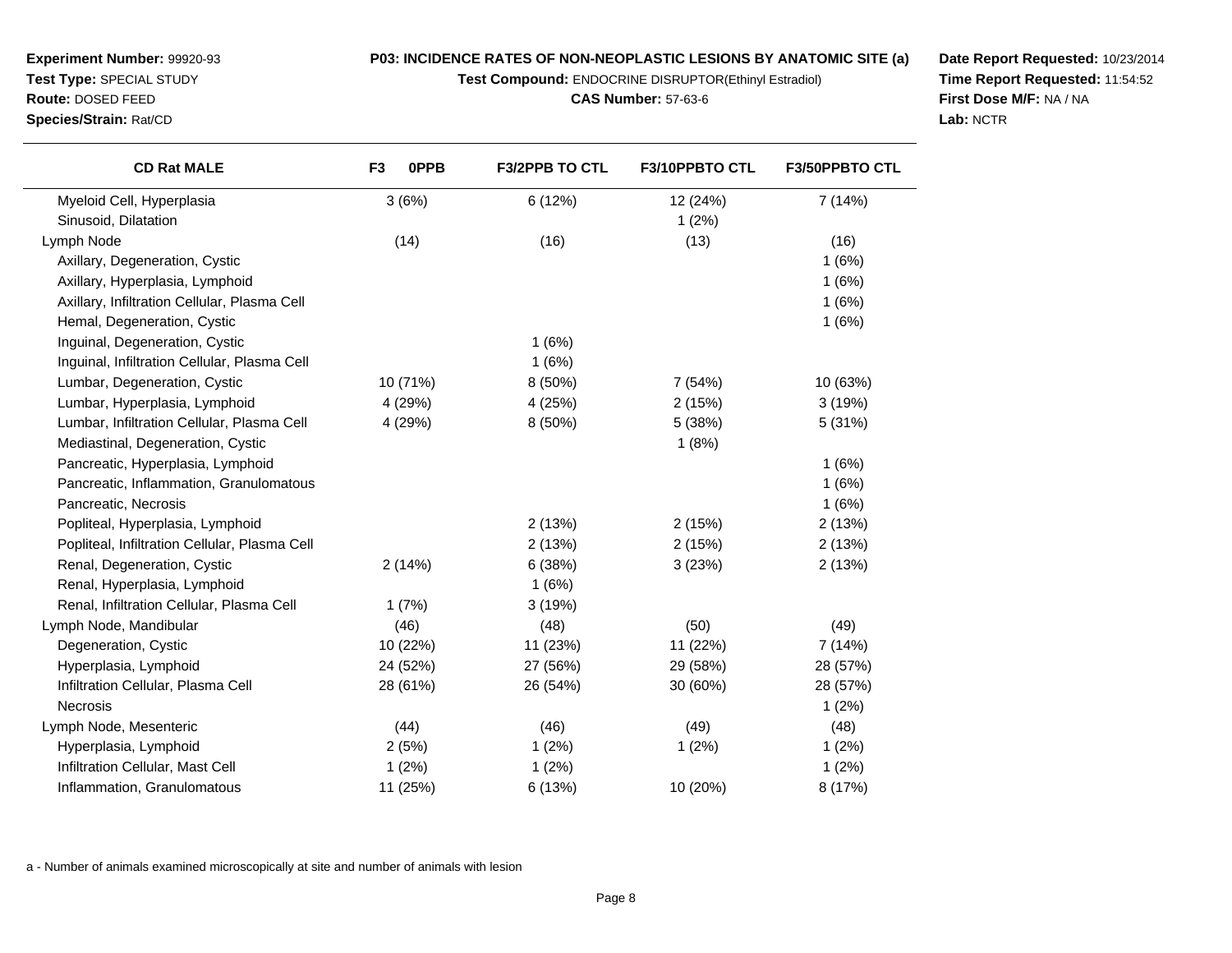**Test Compound:** ENDOCRINE DISRUPTOR(Ethinyl Estradiol)

**CAS Number:** 57-63-6

**Date Report Requested:** 10/23/2014**Time Report Requested:** 11:54:52**First Dose M/F:** NA / NA**Lab:** NCTR

| <b>CD Rat MALE</b>                            | F <sub>3</sub><br>0PPB | <b>F3/2PPB TO CTL</b> | F3/10PPBTO CTL | <b>F3/50PPBTO CTL</b> |
|-----------------------------------------------|------------------------|-----------------------|----------------|-----------------------|
| Myeloid Cell, Hyperplasia                     | 3(6%)                  | 6 (12%)               | 12 (24%)       | 7 (14%)               |
| Sinusoid, Dilatation                          |                        |                       | 1(2%)          |                       |
| Lymph Node                                    | (14)                   | (16)                  | (13)           | (16)                  |
| Axillary, Degeneration, Cystic                |                        |                       |                | 1(6%)                 |
| Axillary, Hyperplasia, Lymphoid               |                        |                       |                | 1(6%)                 |
| Axillary, Infiltration Cellular, Plasma Cell  |                        |                       |                | 1(6%)                 |
| Hemal, Degeneration, Cystic                   |                        |                       |                | 1(6%)                 |
| Inguinal, Degeneration, Cystic                |                        | 1(6%)                 |                |                       |
| Inguinal, Infiltration Cellular, Plasma Cell  |                        | 1(6%)                 |                |                       |
| Lumbar, Degeneration, Cystic                  | 10 (71%)               | 8(50%)                | 7(54%)         | 10 (63%)              |
| Lumbar, Hyperplasia, Lymphoid                 | 4 (29%)                | 4 (25%)               | 2(15%)         | 3(19%)                |
| Lumbar, Infiltration Cellular, Plasma Cell    | 4 (29%)                | 8 (50%)               | 5 (38%)        | 5(31%)                |
| Mediastinal, Degeneration, Cystic             |                        |                       | 1(8%)          |                       |
| Pancreatic, Hyperplasia, Lymphoid             |                        |                       |                | 1(6%)                 |
| Pancreatic, Inflammation, Granulomatous       |                        |                       |                | 1(6%)                 |
| Pancreatic, Necrosis                          |                        |                       |                | 1(6%)                 |
| Popliteal, Hyperplasia, Lymphoid              |                        | 2(13%)                | 2(15%)         | 2(13%)                |
| Popliteal, Infiltration Cellular, Plasma Cell |                        | 2(13%)                | 2(15%)         | 2(13%)                |
| Renal, Degeneration, Cystic                   | 2(14%)                 | 6 (38%)               | 3(23%)         | 2(13%)                |
| Renal, Hyperplasia, Lymphoid                  |                        | 1(6%)                 |                |                       |
| Renal, Infiltration Cellular, Plasma Cell     | 1(7%)                  | 3(19%)                |                |                       |
| Lymph Node, Mandibular                        | (46)                   | (48)                  | (50)           | (49)                  |
| Degeneration, Cystic                          | 10 (22%)               | 11 (23%)              | 11 (22%)       | 7(14%)                |
| Hyperplasia, Lymphoid                         | 24 (52%)               | 27 (56%)              | 29 (58%)       | 28 (57%)              |
| Infiltration Cellular, Plasma Cell            | 28 (61%)               | 26 (54%)              | 30 (60%)       | 28 (57%)              |
| <b>Necrosis</b>                               |                        |                       |                | 1(2%)                 |
| Lymph Node, Mesenteric                        | (44)                   | (46)                  | (49)           | (48)                  |
| Hyperplasia, Lymphoid                         | 2(5%)                  | 1(2%)                 | 1(2%)          | 1(2%)                 |
| Infiltration Cellular, Mast Cell              | 1(2%)                  | 1(2%)                 |                | 1(2%)                 |
| Inflammation, Granulomatous                   | 11 (25%)               | 6 (13%)               | 10 (20%)       | 8 (17%)               |

a - Number of animals examined microscopically at site and number of animals with lesion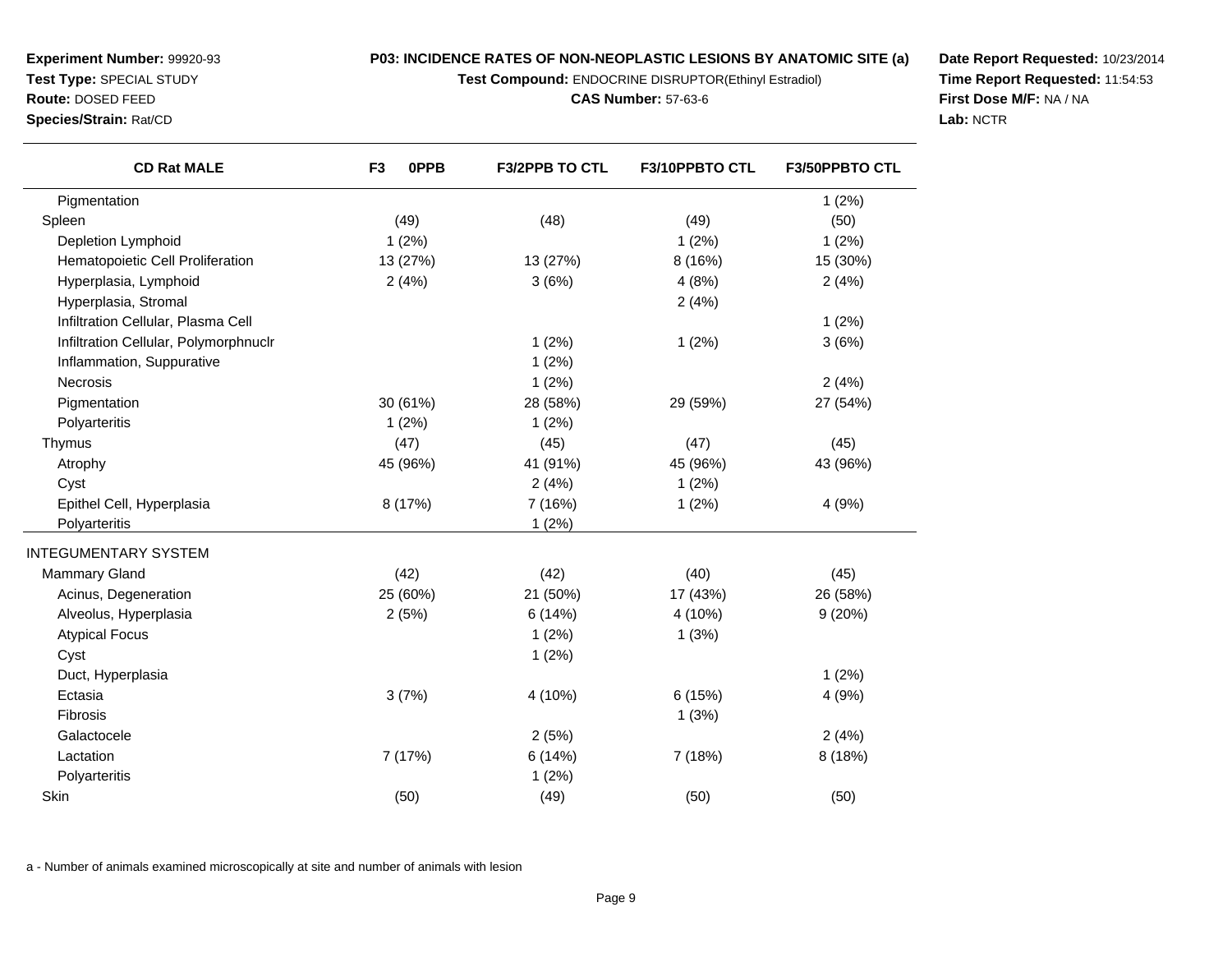**Test Compound:** ENDOCRINE DISRUPTOR(Ethinyl Estradiol)

**CAS Number:** 57-63-6

**Date Report Requested:** 10/23/2014**Time Report Requested:** 11:54:53**First Dose M/F:** NA / NA**Lab:** NCTR

| <b>CD Rat MALE</b>                    | 0PPB<br>F <sub>3</sub> | <b>F3/2PPB TO CTL</b> | F3/10PPBTO CTL | F3/50PPBTO CTL |
|---------------------------------------|------------------------|-----------------------|----------------|----------------|
| Pigmentation                          |                        |                       |                | 1(2%)          |
| Spleen                                | (49)                   | (48)                  | (49)           | (50)           |
| Depletion Lymphoid                    | 1(2%)                  |                       | 1(2%)          | 1(2%)          |
| Hematopoietic Cell Proliferation      | 13 (27%)               | 13 (27%)              | 8 (16%)        | 15 (30%)       |
| Hyperplasia, Lymphoid                 | 2(4%)                  | 3(6%)                 | 4(8%)          | 2(4%)          |
| Hyperplasia, Stromal                  |                        |                       | 2(4%)          |                |
| Infiltration Cellular, Plasma Cell    |                        |                       |                | 1(2%)          |
| Infiltration Cellular, Polymorphnuclr |                        | 1(2%)                 | 1(2%)          | 3(6%)          |
| Inflammation, Suppurative             |                        | 1(2%)                 |                |                |
| <b>Necrosis</b>                       |                        | 1(2%)                 |                | 2(4%)          |
| Pigmentation                          | 30 (61%)               | 28 (58%)              | 29 (59%)       | 27 (54%)       |
| Polyarteritis                         | 1(2%)                  | 1(2%)                 |                |                |
| Thymus                                | (47)                   | (45)                  | (47)           | (45)           |
| Atrophy                               | 45 (96%)               | 41 (91%)              | 45 (96%)       | 43 (96%)       |
| Cyst                                  |                        | 2(4%)                 | 1(2%)          |                |
| Epithel Cell, Hyperplasia             | 8 (17%)                | 7 (16%)               | 1(2%)          | 4(9%)          |
| Polyarteritis                         |                        | 1(2%)                 |                |                |
| <b>INTEGUMENTARY SYSTEM</b>           |                        |                       |                |                |
| <b>Mammary Gland</b>                  | (42)                   | (42)                  | (40)           | (45)           |
| Acinus, Degeneration                  | 25 (60%)               | 21 (50%)              | 17 (43%)       | 26 (58%)       |
| Alveolus, Hyperplasia                 | 2(5%)                  | 6(14%)                | 4 (10%)        | 9(20%)         |
| <b>Atypical Focus</b>                 |                        | 1(2%)                 | 1(3%)          |                |
| Cyst                                  |                        | 1(2%)                 |                |                |
| Duct, Hyperplasia                     |                        |                       |                | 1(2%)          |
| Ectasia                               | 3(7%)                  | 4 (10%)               | 6(15%)         | 4(9%)          |
| Fibrosis                              |                        |                       | 1(3%)          |                |
| Galactocele                           |                        | 2(5%)                 |                | 2(4%)          |
| Lactation                             | 7 (17%)                | 6(14%)                | 7 (18%)        | 8 (18%)        |
|                                       |                        |                       |                |                |

n (50)  $(50)$   $(49)$   $(50)$   $(50)$ 

a - Number of animals examined microscopically at site and number of animals with lesion

s  $1 (2\%)$ 

**Experiment Number:** 99920-93**Test Type:** SPECIAL STUDY**Route:** DOSED FEED**Species/Strain:** Rat/CD

Polyarteritis

Skin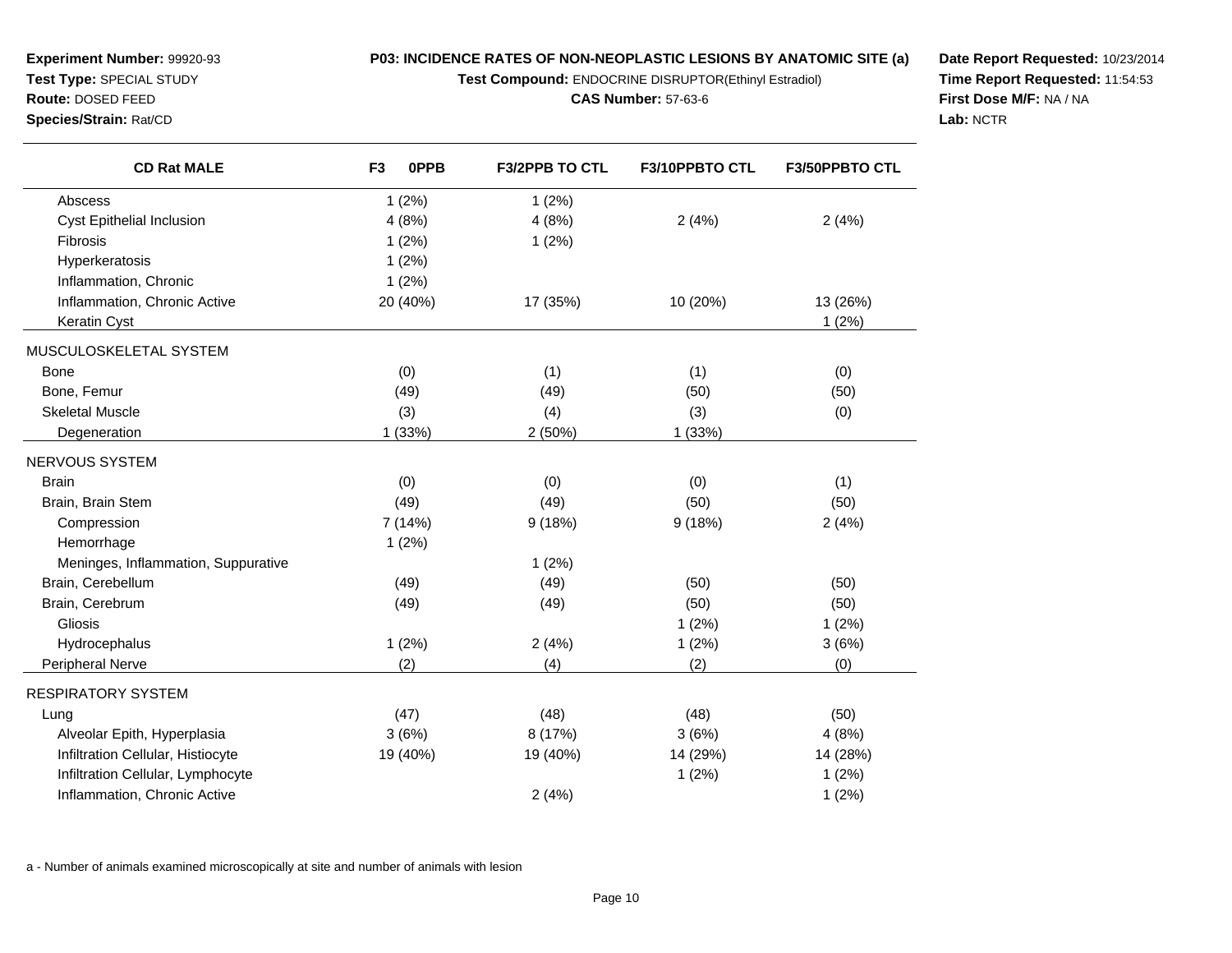**Test Compound:** ENDOCRINE DISRUPTOR(Ethinyl Estradiol)

**CAS Number:** 57-63-6

**Date Report Requested:** 10/23/2014**Time Report Requested:** 11:54:53**First Dose M/F:** NA / NA**Lab:** NCTR

| <b>CD Rat MALE</b>                  | 0PPB<br>F <sub>3</sub> | <b>F3/2PPB TO CTL</b> | F3/10PPBTO CTL | F3/50PPBTO CTL |
|-------------------------------------|------------------------|-----------------------|----------------|----------------|
| Abscess                             | 1(2%)                  | 1(2%)                 |                |                |
| Cyst Epithelial Inclusion           | 4(8%)                  | 4(8%)                 | 2(4%)          | 2(4%)          |
| <b>Fibrosis</b>                     | 1(2%)                  | 1(2%)                 |                |                |
| Hyperkeratosis                      | 1(2%)                  |                       |                |                |
| Inflammation, Chronic               | 1(2%)                  |                       |                |                |
| Inflammation, Chronic Active        | 20 (40%)               | 17 (35%)              | 10 (20%)       | 13 (26%)       |
| Keratin Cyst                        |                        |                       |                | 1(2%)          |
| MUSCULOSKELETAL SYSTEM              |                        |                       |                |                |
| <b>Bone</b>                         | (0)                    | (1)                   | (1)            | (0)            |
| Bone, Femur                         | (49)                   | (49)                  | (50)           | (50)           |
| <b>Skeletal Muscle</b>              | (3)                    | (4)                   | (3)            | (0)            |
| Degeneration                        | 1(33%)                 | 2(50%)                | 1(33%)         |                |
| NERVOUS SYSTEM                      |                        |                       |                |                |
| <b>Brain</b>                        | (0)                    | (0)                   | (0)            | (1)            |
| Brain, Brain Stem                   | (49)                   | (49)                  | (50)           | (50)           |
| Compression                         | 7 (14%)                | 9(18%)                | 9(18%)         | 2(4%)          |
| Hemorrhage                          | 1(2%)                  |                       |                |                |
| Meninges, Inflammation, Suppurative |                        | 1(2%)                 |                |                |
| Brain, Cerebellum                   | (49)                   | (49)                  | (50)           | (50)           |
| Brain, Cerebrum                     | (49)                   | (49)                  | (50)           | (50)           |
| Gliosis                             |                        |                       | 1(2%)          | 1(2%)          |
| Hydrocephalus                       | 1(2%)                  | 2(4%)                 | 1(2%)          | 3(6%)          |
| Peripheral Nerve                    | (2)                    | (4)                   | (2)            | (0)            |
| <b>RESPIRATORY SYSTEM</b>           |                        |                       |                |                |
| Lung                                | (47)                   | (48)                  | (48)           | (50)           |
| Alveolar Epith, Hyperplasia         | 3(6%)                  | 8 (17%)               | 3(6%)          | 4(8%)          |
| Infiltration Cellular, Histiocyte   | 19 (40%)               | 19 (40%)              | 14 (29%)       | 14 (28%)       |
| Infiltration Cellular, Lymphocyte   |                        |                       | 1(2%)          | 1(2%)          |
| Inflammation, Chronic Active        |                        | 2(4%)                 |                | 1(2%)          |

a - Number of animals examined microscopically at site and number of animals with lesion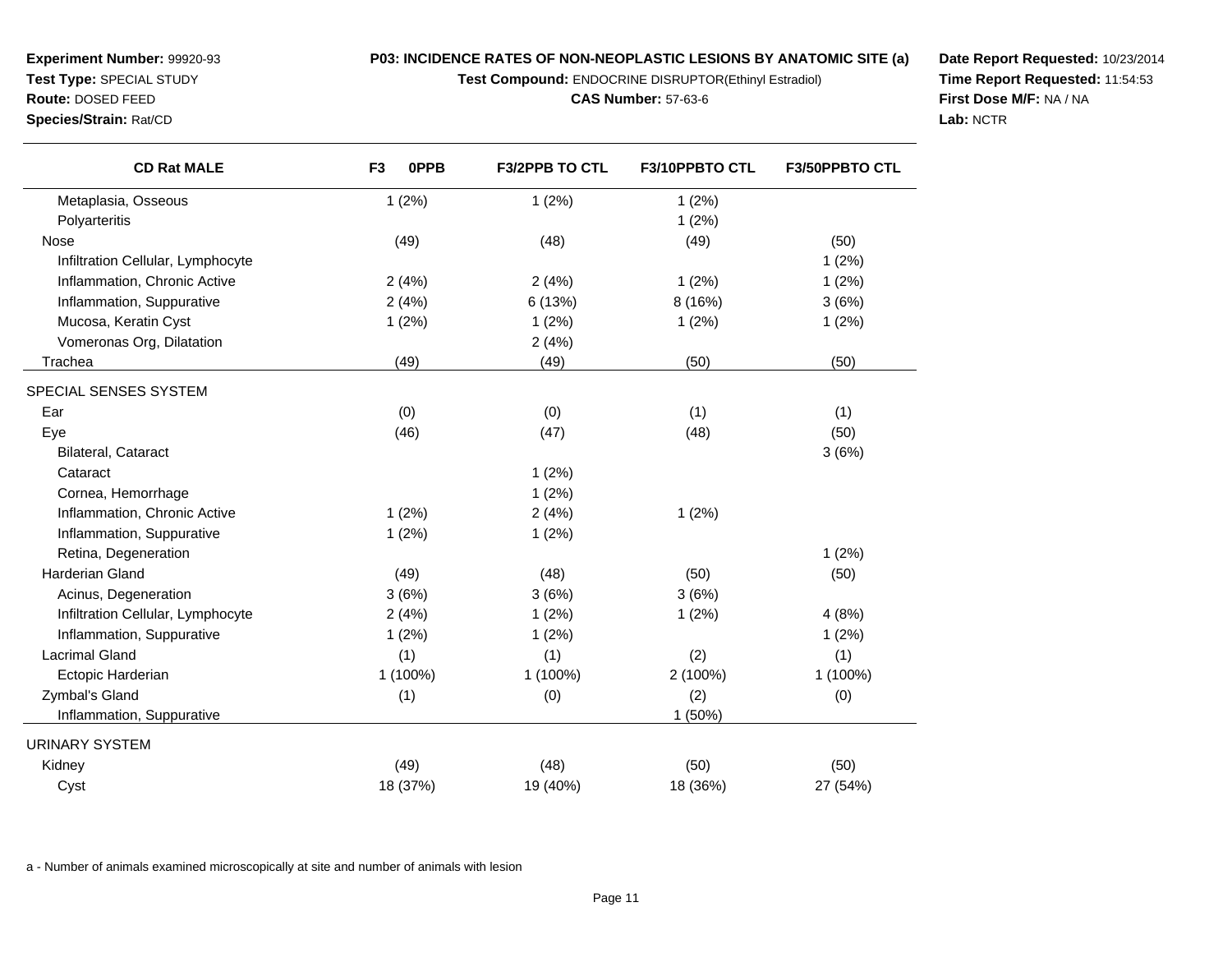**Test Compound:** ENDOCRINE DISRUPTOR(Ethinyl Estradiol)

**CAS Number:** 57-63-6

**Date Report Requested:** 10/23/2014**Time Report Requested:** 11:54:53**First Dose M/F:** NA / NA**Lab:** NCTR

| <b>CD Rat MALE</b>                | F <sub>3</sub><br>0PPB | <b>F3/2PPB TO CTL</b> | F3/10PPBTO CTL | <b>F3/50PPBTO CTL</b> |
|-----------------------------------|------------------------|-----------------------|----------------|-----------------------|
| Metaplasia, Osseous               | 1(2%)                  | 1(2%)                 | 1(2%)          |                       |
| Polyarteritis                     |                        |                       | 1(2%)          |                       |
| Nose                              | (49)                   | (48)                  | (49)           | (50)                  |
| Infiltration Cellular, Lymphocyte |                        |                       |                | 1(2%)                 |
| Inflammation, Chronic Active      | 2(4%)                  | 2(4%)                 | 1(2%)          | 1(2%)                 |
| Inflammation, Suppurative         | 2(4%)                  | 6(13%)                | 8 (16%)        | 3(6%)                 |
| Mucosa, Keratin Cyst              | 1(2%)                  | 1(2%)                 | 1(2%)          | 1(2%)                 |
| Vomeronas Org, Dilatation         |                        | 2(4%)                 |                |                       |
| Trachea                           | (49)                   | (49)                  | (50)           | (50)                  |
| SPECIAL SENSES SYSTEM             |                        |                       |                |                       |
| Ear                               | (0)                    | (0)                   | (1)            | (1)                   |
| Eye                               | (46)                   | (47)                  | (48)           | (50)                  |
| <b>Bilateral, Cataract</b>        |                        |                       |                | 3(6%)                 |
| Cataract                          |                        | 1(2%)                 |                |                       |
| Cornea, Hemorrhage                |                        | 1(2%)                 |                |                       |
| Inflammation, Chronic Active      | 1(2%)                  | 2(4%)                 | 1(2%)          |                       |
| Inflammation, Suppurative         | 1(2%)                  | 1(2%)                 |                |                       |
| Retina, Degeneration              |                        |                       |                | 1(2%)                 |
| <b>Harderian Gland</b>            | (49)                   | (48)                  | (50)           | (50)                  |
| Acinus, Degeneration              | 3(6%)                  | 3(6%)                 | 3(6%)          |                       |
| Infiltration Cellular, Lymphocyte | 2(4%)                  | 1(2%)                 | 1(2%)          | 4(8%)                 |
| Inflammation, Suppurative         | 1(2%)                  | 1(2%)                 |                | 1(2%)                 |
| <b>Lacrimal Gland</b>             | (1)                    | (1)                   | (2)            | (1)                   |
| Ectopic Harderian                 | 1 (100%)               | 1 (100%)              | 2 (100%)       | 1 (100%)              |
| Zymbal's Gland                    | (1)                    | (0)                   | (2)            | (0)                   |
| Inflammation, Suppurative         |                        |                       | 1 (50%)        |                       |
| <b>URINARY SYSTEM</b>             |                        |                       |                |                       |
| Kidney                            | (49)                   | (48)                  | (50)           | (50)                  |
| Cyst                              | 18 (37%)               | 19 (40%)              | 18 (36%)       | 27 (54%)              |

a - Number of animals examined microscopically at site and number of animals with lesion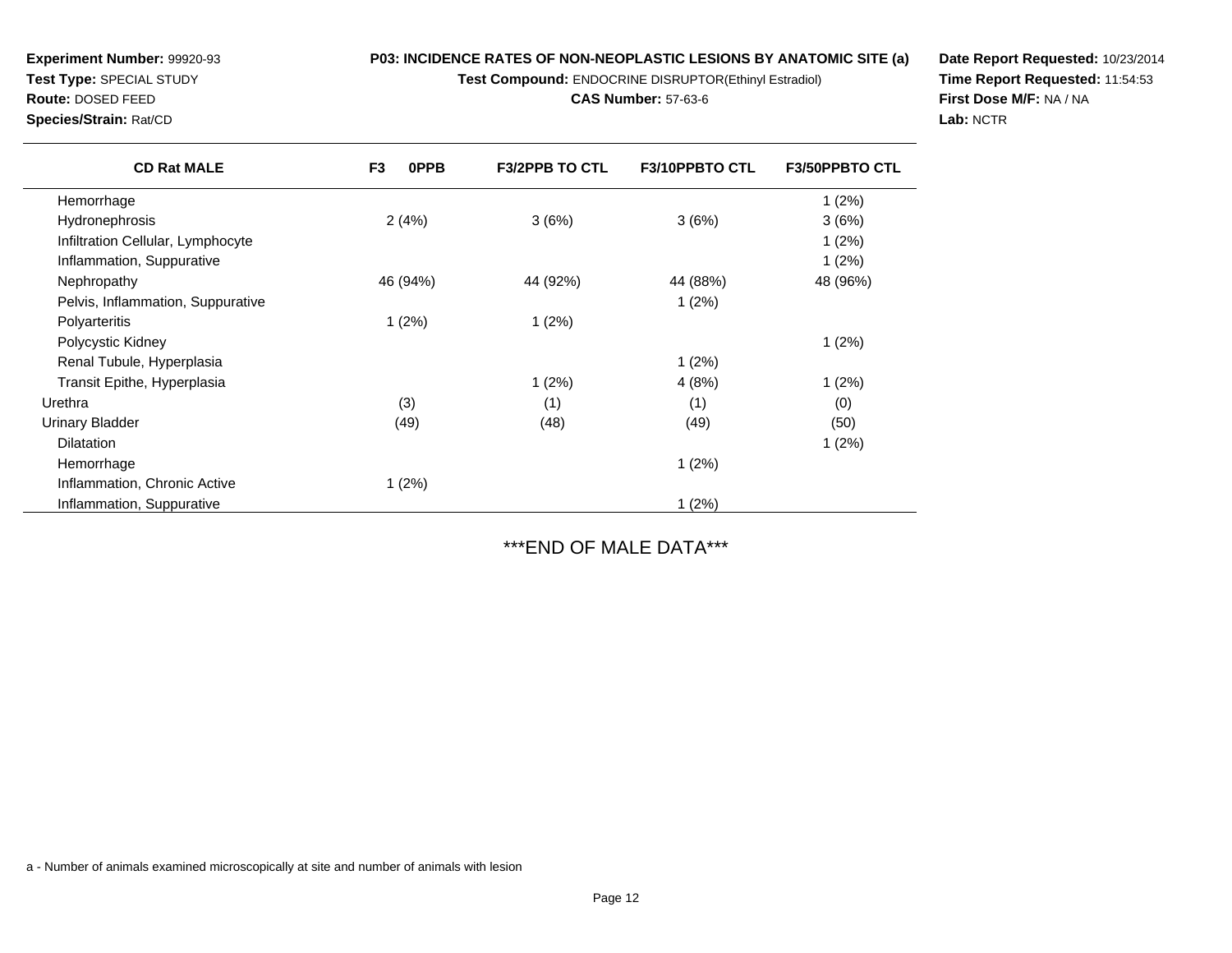**Test Compound:** ENDOCRINE DISRUPTOR(Ethinyl Estradiol)

**CAS Number:** 57-63-6

**Date Report Requested:** 10/23/2014**Time Report Requested:** 11:54:53**First Dose M/F:** NA / NA**Lab:** NCTR

| <b>Experiment Number: 99920-93</b> |
|------------------------------------|
| <b>Test Type: SPECIAL STUDY</b>    |
| <b>Route: DOSED FEED</b>           |

**Species/Strain:** Rat/CD

| <b>CD Rat MALE</b>                | F <sub>3</sub><br><b>OPPB</b> | <b>F3/2PPB TO CTL</b> | <b>F3/10PPBTO CTL</b> | <b>F3/50PPBTO CTL</b> |
|-----------------------------------|-------------------------------|-----------------------|-----------------------|-----------------------|
| Hemorrhage                        |                               |                       |                       | 1(2%)                 |
| Hydronephrosis                    | 2(4%)                         | 3(6%)                 | 3(6%)                 | 3(6%)                 |
| Infiltration Cellular, Lymphocyte |                               |                       |                       | 1(2%)                 |
| Inflammation, Suppurative         |                               |                       |                       | 1(2%)                 |
| Nephropathy                       | 46 (94%)                      | 44 (92%)              | 44 (88%)              | 48 (96%)              |
| Pelvis, Inflammation, Suppurative |                               |                       | 1(2%)                 |                       |
| Polyarteritis                     | 1(2%)                         | 1(2%)                 |                       |                       |
| Polycystic Kidney                 |                               |                       |                       | 1(2%)                 |
| Renal Tubule, Hyperplasia         |                               |                       | 1(2%)                 |                       |
| Transit Epithe, Hyperplasia       |                               | 1(2%)                 | 4(8%)                 | 1(2%)                 |
| Urethra                           | (3)                           | (1)                   | (1)                   | (0)                   |
| <b>Urinary Bladder</b>            | (49)                          | (48)                  | (49)                  | (50)                  |
| <b>Dilatation</b>                 |                               |                       |                       | 1(2%)                 |
| Hemorrhage                        |                               |                       | 1(2%)                 |                       |
| Inflammation, Chronic Active      | 1(2%)                         |                       |                       |                       |
| Inflammation, Suppurative         |                               |                       | 1(2%)                 |                       |

\*\*\*END OF MALE DATA\*\*\*

a - Number of animals examined microscopically at site and number of animals with lesion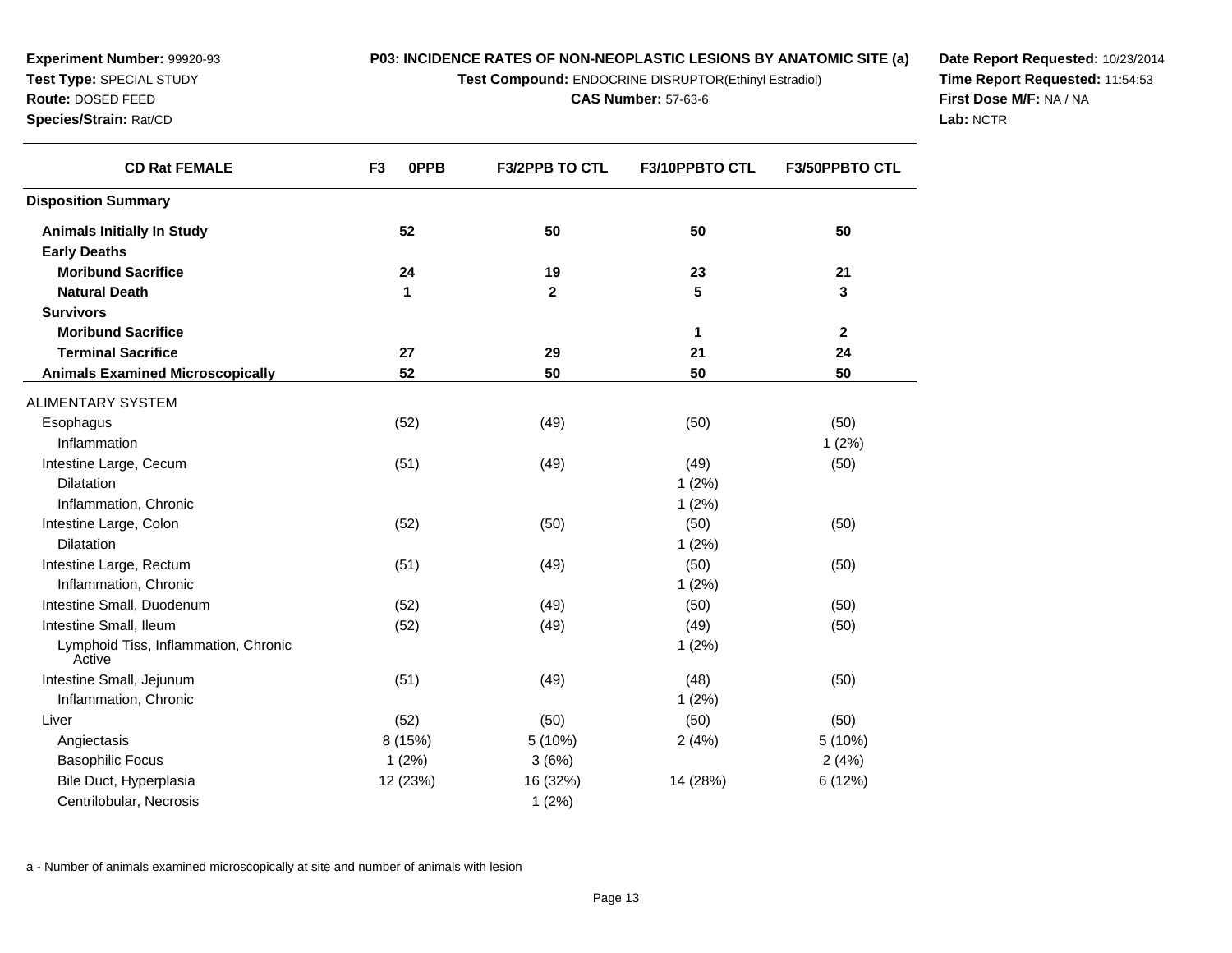**Test Compound:** ENDOCRINE DISRUPTOR(Ethinyl Estradiol)

**CAS Number:** 57-63-6

**Date Report Requested:** 10/23/2014**Time Report Requested:** 11:54:53**First Dose M/F:** NA / NA**Lab:** NCTR

| <b>CD Rat FEMALE</b>                           | F <sub>3</sub><br>0PPB | F3/2PPB TO CTL | F3/10PPBTO CTL | F3/50PPBTO CTL |
|------------------------------------------------|------------------------|----------------|----------------|----------------|
| <b>Disposition Summary</b>                     |                        |                |                |                |
| <b>Animals Initially In Study</b>              | 52                     | 50             | 50             | 50             |
| <b>Early Deaths</b>                            |                        |                |                |                |
| <b>Moribund Sacrifice</b>                      | 24                     | 19             | 23             | 21             |
| <b>Natural Death</b>                           | 1                      | $\mathbf 2$    | 5              | 3              |
| <b>Survivors</b>                               |                        |                |                |                |
| <b>Moribund Sacrifice</b>                      |                        |                | 1              | $\mathbf{2}$   |
| <b>Terminal Sacrifice</b>                      | 27                     | 29             | 21             | 24             |
| <b>Animals Examined Microscopically</b>        | 52                     | 50             | 50             | 50             |
| ALIMENTARY SYSTEM                              |                        |                |                |                |
| Esophagus                                      | (52)                   | (49)           | (50)           | (50)           |
| Inflammation                                   |                        |                |                | 1(2%)          |
| Intestine Large, Cecum                         | (51)                   | (49)           | (49)           | (50)           |
| Dilatation                                     |                        |                | 1(2%)          |                |
| Inflammation, Chronic                          |                        |                | 1(2%)          |                |
| Intestine Large, Colon                         | (52)                   | (50)           | (50)           | (50)           |
| <b>Dilatation</b>                              |                        |                | 1(2%)          |                |
| Intestine Large, Rectum                        | (51)                   | (49)           | (50)           | (50)           |
| Inflammation, Chronic                          |                        |                | 1(2%)          |                |
| Intestine Small, Duodenum                      | (52)                   | (49)           | (50)           | (50)           |
| Intestine Small, Ileum                         | (52)                   | (49)           | (49)           | (50)           |
| Lymphoid Tiss, Inflammation, Chronic<br>Active |                        |                | 1(2%)          |                |
| Intestine Small, Jejunum                       | (51)                   | (49)           | (48)           | (50)           |
| Inflammation, Chronic                          |                        |                | 1(2%)          |                |
| Liver                                          | (52)                   | (50)           | (50)           | (50)           |
| Angiectasis                                    | 8 (15%)                | 5 (10%)        | 2(4%)          | 5 (10%)        |
| <b>Basophilic Focus</b>                        | 1(2%)                  | 3(6%)          |                | 2(4%)          |
| Bile Duct, Hyperplasia                         | 12 (23%)               | 16 (32%)       | 14 (28%)       | 6 (12%)        |
| Centrilobular, Necrosis                        |                        | 1(2%)          |                |                |

a - Number of animals examined microscopically at site and number of animals with lesion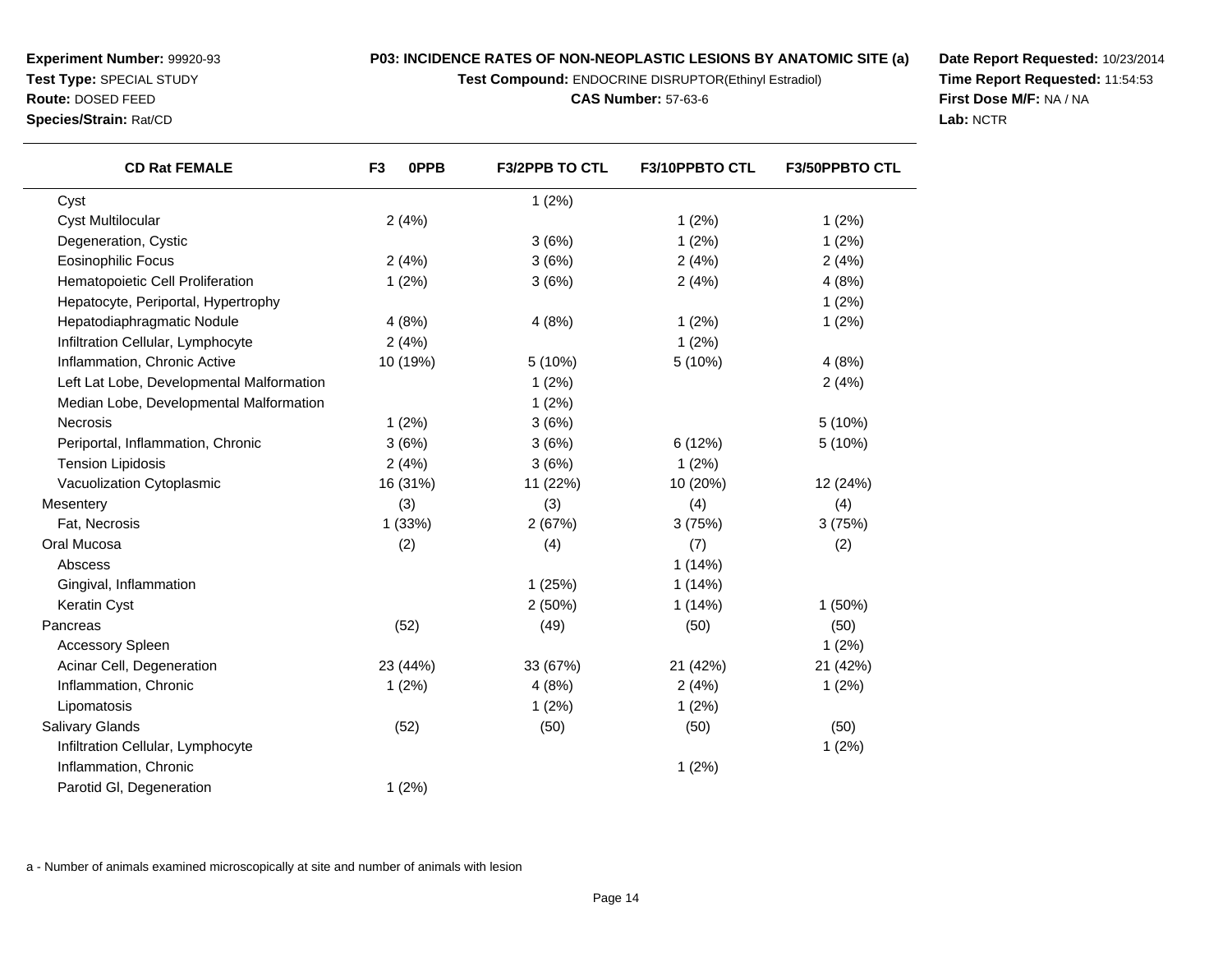**Test Compound:** ENDOCRINE DISRUPTOR(Ethinyl Estradiol)

**CAS Number:** 57-63-6

**Date Report Requested:** 10/23/2014**Time Report Requested:** 11:54:53**First Dose M/F:** NA / NA**Lab:** NCTR

| <b>CD Rat FEMALE</b>                      | 0PPB<br>F <sub>3</sub> | <b>F3/2PPB TO CTL</b> | F3/10PPBTO CTL | <b>F3/50PPBTO CTL</b> |
|-------------------------------------------|------------------------|-----------------------|----------------|-----------------------|
| Cyst                                      |                        | 1(2%)                 |                |                       |
| <b>Cyst Multilocular</b>                  | 2(4%)                  |                       | 1(2%)          | 1(2%)                 |
| Degeneration, Cystic                      |                        | 3(6%)                 | 1(2%)          | 1(2%)                 |
| <b>Eosinophilic Focus</b>                 | 2(4%)                  | 3(6%)                 | 2(4%)          | 2(4%)                 |
| Hematopoietic Cell Proliferation          | 1(2%)                  | 3(6%)                 | 2(4%)          | 4(8%)                 |
| Hepatocyte, Periportal, Hypertrophy       |                        |                       |                | 1(2%)                 |
| Hepatodiaphragmatic Nodule                | 4(8%)                  | 4(8%)                 | 1(2%)          | 1(2%)                 |
| Infiltration Cellular, Lymphocyte         | 2(4%)                  |                       | 1(2%)          |                       |
| Inflammation, Chronic Active              | 10 (19%)               | 5(10%)                | 5(10%)         | 4(8%)                 |
| Left Lat Lobe, Developmental Malformation |                        | 1(2%)                 |                | 2(4%)                 |
| Median Lobe, Developmental Malformation   |                        | 1(2%)                 |                |                       |
| Necrosis                                  | 1(2%)                  | 3(6%)                 |                | 5 (10%)               |
| Periportal, Inflammation, Chronic         | 3(6%)                  | 3(6%)                 | 6(12%)         | 5(10%)                |
| <b>Tension Lipidosis</b>                  | 2(4%)                  | 3(6%)                 | 1(2%)          |                       |
| Vacuolization Cytoplasmic                 | 16 (31%)               | 11 (22%)              | 10 (20%)       | 12 (24%)              |
| Mesentery                                 | (3)                    | (3)                   | (4)            | (4)                   |
| Fat, Necrosis                             | 1(33%)                 | 2(67%)                | 3(75%)         | 3(75%)                |
| Oral Mucosa                               | (2)                    | (4)                   | (7)            | (2)                   |
| Abscess                                   |                        |                       | 1(14%)         |                       |
| Gingival, Inflammation                    |                        | 1(25%)                | 1(14%)         |                       |
| Keratin Cyst                              |                        | 2(50%)                | 1(14%)         | 1(50%)                |
| Pancreas                                  | (52)                   | (49)                  | (50)           | (50)                  |
| <b>Accessory Spleen</b>                   |                        |                       |                | 1(2%)                 |
| Acinar Cell, Degeneration                 | 23 (44%)               | 33 (67%)              | 21 (42%)       | 21 (42%)              |
| Inflammation, Chronic                     | 1(2%)                  | 4(8%)                 | 2(4%)          | 1(2%)                 |
| Lipomatosis                               |                        | 1(2%)                 | 1(2%)          |                       |
| <b>Salivary Glands</b>                    | (52)                   | (50)                  | (50)           | (50)                  |
| Infiltration Cellular, Lymphocyte         |                        |                       |                | 1(2%)                 |
| Inflammation, Chronic                     |                        |                       | 1(2%)          |                       |
| Parotid GI, Degeneration                  | 1(2%)                  |                       |                |                       |

a - Number of animals examined microscopically at site and number of animals with lesion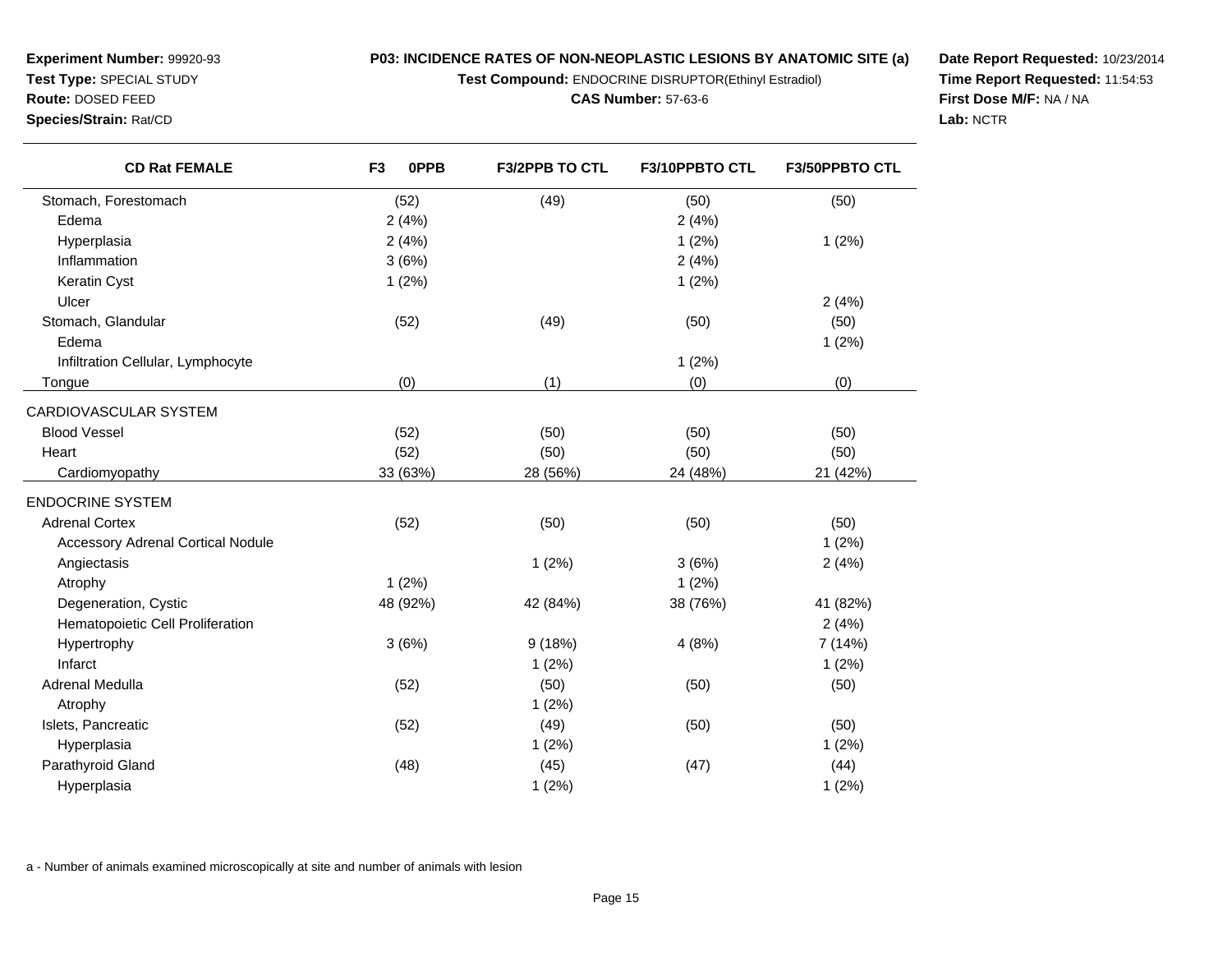**Test Compound:** ENDOCRINE DISRUPTOR(Ethinyl Estradiol)

**F3/2PPB TO CTL F3/10PPBTO CTL F3/50PPBTO CTL**

**CAS Number:** 57-63-6

**Date Report Requested:** 10/23/2014**Time Report Requested:** 11:54:53**First Dose M/F:** NA / NA**Lab:** NCTR

| Stomach, Forestomach                     | (52)     | (49)     | (50)       | (50)     |
|------------------------------------------|----------|----------|------------|----------|
| Edema                                    | 2(4%)    |          | 2(4%)      |          |
| Hyperplasia                              | 2(4%)    |          | 1(2%)      | 1(2%)    |
| Inflammation                             | 3(6%)    |          | 2(4%)      |          |
| <b>Keratin Cyst</b>                      | 1(2%)    |          | 1(2%)      |          |
| Ulcer                                    |          |          |            | 2(4%     |
| Stomach, Glandular                       | (52)     | (49)     | (50)       | (50)     |
| Edema                                    |          |          |            | 1(2%)    |
| Infiltration Cellular, Lymphocyte        |          |          | 1(2%)      |          |
| Tongue                                   | (0)      | (1)      | (0)        | (0)      |
| CARDIOVASCULAR SYSTEM                    |          |          |            |          |
| <b>Blood Vessel</b>                      | (52)     | (50)     | (50)       | (50)     |
| Heart                                    | (52)     | (50)     | (50)       | (50)     |
| Cardiomyopathy                           | 33 (63%) | 28 (56%) | 24 (48%)   | 21 (42%  |
| <b>ENDOCRINE SYSTEM</b>                  |          |          |            |          |
| <b>Adrenal Cortex</b>                    | (52)     | (50)     | (50)       | (50)     |
| <b>Accessory Adrenal Cortical Nodule</b> |          |          |            | 1(2%)    |
| Angiectasis                              |          | 1(2%)    | 3(6%)      | 2(4%     |
| Atrophy                                  | 1(2%)    |          | 1(2%)      |          |
| Degeneration, Cystic                     | 48 (92%) | 42 (84%) | 38 (76%)   | 41 (82%  |
| Hematopoietic Cell Proliferation         |          |          |            | 2(4%)    |
| $L_1$ in ortrophy                        | 2(20/1)  | 0.1100/1 | A / 00 / 1 | 7/14/10/ |

**F3 0PPB**

**Experiment Number:** 99920-93**Test Type:** SPECIAL STUDY**Route:** DOSED FEED**Species/Strain:** Rat/CD

**CD Rat FEMALE**

| Keratin Cyst                             | 1(2%)    |          | 1(2%)    |          |
|------------------------------------------|----------|----------|----------|----------|
| Ulcer                                    |          |          |          | 2(4%)    |
| Stomach, Glandular                       | (52)     | (49)     | (50)     | (50)     |
| Edema                                    |          |          |          | 1(2%)    |
| Infiltration Cellular, Lymphocyte        |          |          | 1(2%)    |          |
| Tongue                                   | (0)      | (1)      | (0)      | (0)      |
| <b>RDIOVASCULAR SYSTEM</b>               |          |          |          |          |
| <b>Blood Vessel</b>                      | (52)     | (50)     | (50)     | (50)     |
| Heart                                    | (52)     | (50)     | (50)     | (50)     |
| Cardiomyopathy                           | 33 (63%) | 28 (56%) | 24 (48%) | 21 (42%) |
| <b>IDOCRINE SYSTEM</b>                   |          |          |          |          |
| <b>Adrenal Cortex</b>                    | (52)     | (50)     | (50)     | (50)     |
| <b>Accessory Adrenal Cortical Nodule</b> |          |          |          | 1(2%)    |
| Angiectasis                              |          | 1(2%)    | 3(6%)    | 2(4%)    |
| Atrophy                                  | 1(2%)    |          | 1(2%)    |          |
| Degeneration, Cystic                     | 48 (92%) | 42 (84%) | 38 (76%) | 41 (82%) |
| Hematopoietic Cell Proliferation         |          |          |          | 2(4%)    |
| Hypertrophy                              | 3(6%)    | 9(18%)   | 4(8%)    | 7 (14%)  |
| Infarct                                  |          | 1(2%)    |          | 1(2%)    |
| Adrenal Medulla                          | (52)     | (50)     | (50)     | (50)     |
| Atrophy                                  |          | 1(2%)    |          |          |
| Islets, Pancreatic                       | (52)     | (49)     | (50)     | (50)     |
| Hyperplasia                              |          | 1(2%)    |          | 1(2%)    |
| Parathyroid Gland                        | (48)     | (45)     | (47)     | (44)     |
| Hyperplasia                              |          | 1(2%)    |          | 1(2%)    |
|                                          |          |          |          |          |

a - Number of animals examined microscopically at site and number of animals with lesion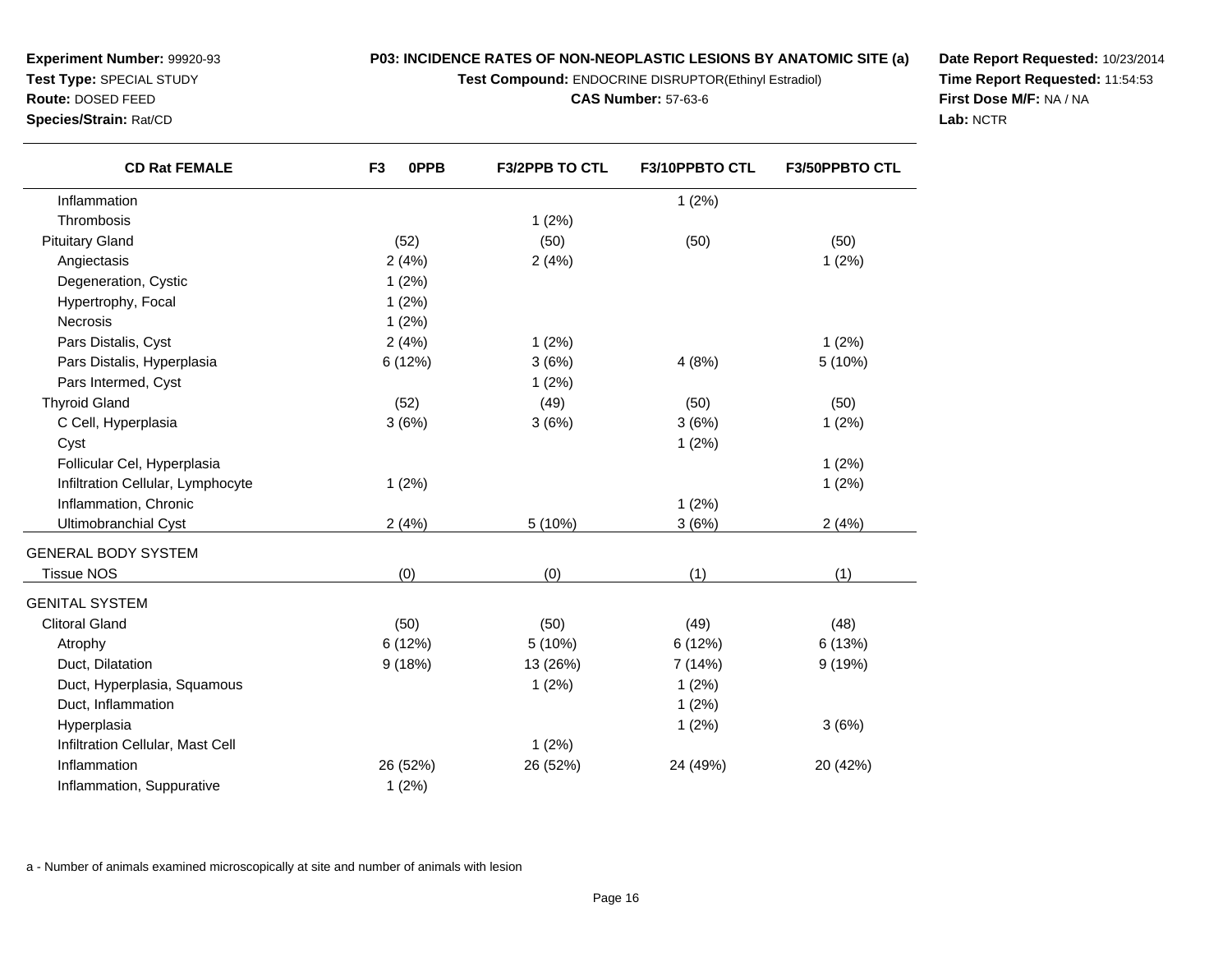**Test Compound:** ENDOCRINE DISRUPTOR(Ethinyl Estradiol)

**CAS Number:** 57-63-6

**Date Report Requested:** 10/23/2014**Time Report Requested:** 11:54:53**First Dose M/F:** NA / NA**Lab:** NCTR

| <b>CD Rat FEMALE</b>              | 0PPB<br>F <sub>3</sub> | <b>F3/2PPB TO CTL</b> | F3/10PPBTO CTL | <b>F3/50PPBTO CTL</b> |
|-----------------------------------|------------------------|-----------------------|----------------|-----------------------|
| Inflammation                      |                        |                       | 1(2%)          |                       |
| Thrombosis                        |                        | 1(2%)                 |                |                       |
| <b>Pituitary Gland</b>            | (52)                   | (50)                  | (50)           | (50)                  |
| Angiectasis                       | 2(4%)                  | 2(4%)                 |                | 1(2%)                 |
| Degeneration, Cystic              | $1(2\%)$               |                       |                |                       |
| Hypertrophy, Focal                | 1(2%)                  |                       |                |                       |
| <b>Necrosis</b>                   | 1(2%)                  |                       |                |                       |
| Pars Distalis, Cyst               | 2(4%)                  | 1(2%)                 |                | $1(2\%)$              |
| Pars Distalis, Hyperplasia        | 6 (12%)                | 3(6%)                 | 4(8%)          | 5 (10%)               |
| Pars Intermed, Cyst               |                        | 1(2%)                 |                |                       |
| <b>Thyroid Gland</b>              | (52)                   | (49)                  | (50)           | (50)                  |
| C Cell, Hyperplasia               | 3(6%)                  | 3(6%)                 | 3(6%)          | 1(2%)                 |
| Cyst                              |                        |                       | 1(2%)          |                       |
| Follicular Cel, Hyperplasia       |                        |                       |                | 1(2%)                 |
| Infiltration Cellular, Lymphocyte | 1(2%)                  |                       |                | 1(2%)                 |
| Inflammation, Chronic             |                        |                       | 1(2%)          |                       |
| Ultimobranchial Cyst              | 2(4%)                  | 5 (10%)               | 3(6%)          | 2(4%)                 |
| <b>GENERAL BODY SYSTEM</b>        |                        |                       |                |                       |
| <b>Tissue NOS</b>                 | (0)                    | (0)                   | (1)            | (1)                   |
| <b>GENITAL SYSTEM</b>             |                        |                       |                |                       |
| <b>Clitoral Gland</b>             | (50)                   | (50)                  | (49)           | (48)                  |
| Atrophy                           | 6(12%)                 | 5(10%)                | 6(12%)         | 6 (13%)               |
| Duct, Dilatation                  | 9(18%)                 | 13 (26%)              | 7 (14%)        | 9(19%)                |
| Duct, Hyperplasia, Squamous       |                        | 1(2%)                 | 1(2%)          |                       |
| Duct, Inflammation                |                        |                       | 1(2%)          |                       |
| Hyperplasia                       |                        |                       | 1(2%)          | 3(6%)                 |
| Infiltration Cellular, Mast Cell  |                        | 1(2%)                 |                |                       |

n 26 (52%) 26 (52%) 26 (52%) 26 (52%) 24 (49%) 20 (42%)

1 (2%)

a - Number of animals examined microscopically at site and number of animals with lesion

**Experiment Number:** 99920-93**Test Type:** SPECIAL STUDY**Route:** DOSED FEED**Species/Strain:** Rat/CD

 $\overline{\phantom{a}}$ 

Inflammation

Inflammation, Suppurative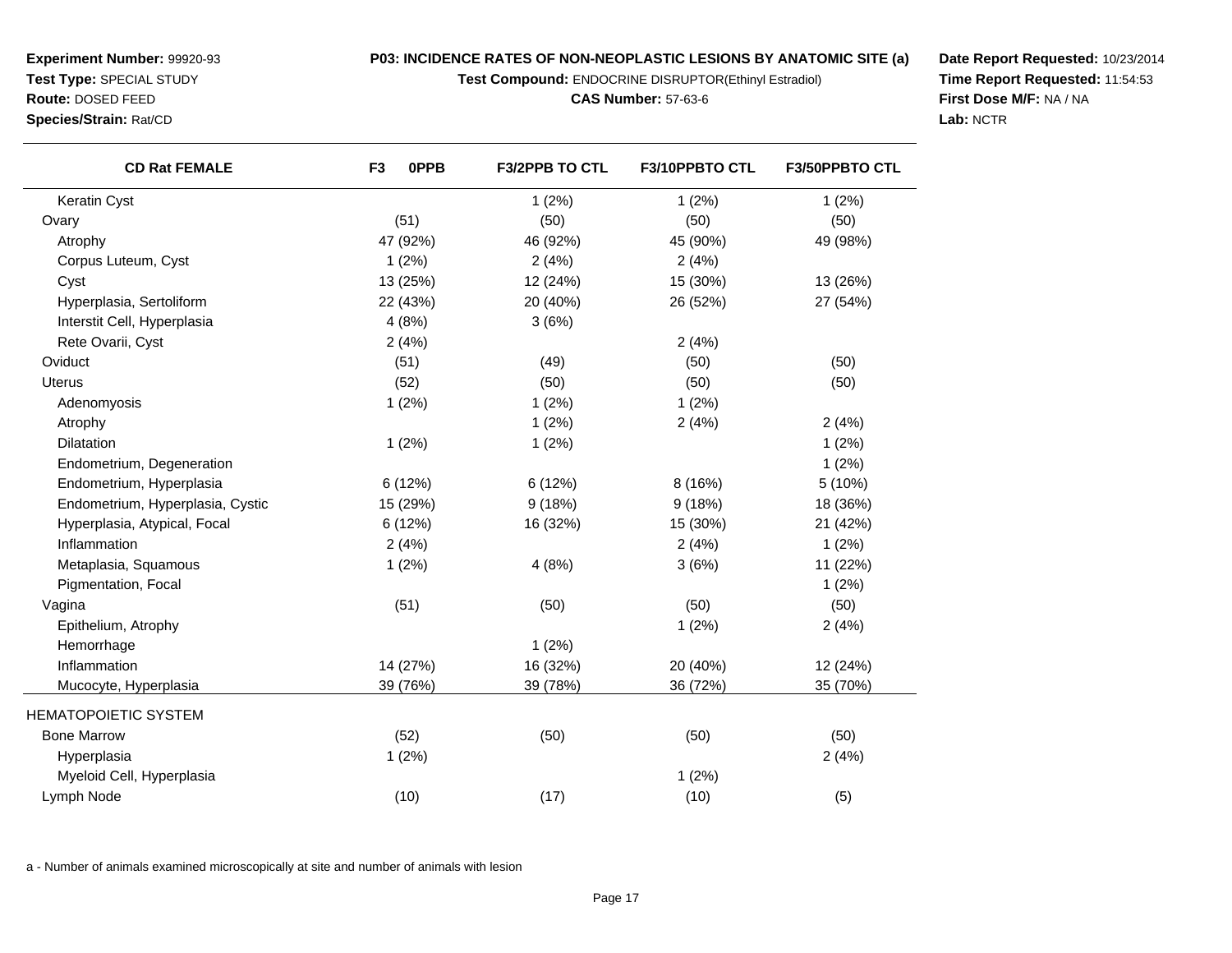**Test Compound:** ENDOCRINE DISRUPTOR(Ethinyl Estradiol)

**Date Report Requested:** 10/23/2014**Time Report Requested:** 11:54:53**First Dose M/F:** NA / NA**Lab:** NCTR

| <b>CD Rat FEMALE</b>             | F <sub>3</sub><br>0PPB | F3/2PPB TO CTL | F3/10PPBTO CTL | F3/50PPBTO CTL |
|----------------------------------|------------------------|----------------|----------------|----------------|
| Keratin Cyst                     |                        | 1(2%)          | 1(2%)          | 1(2%)          |
| Ovary                            | (51)                   | (50)           | (50)           | (50)           |
| Atrophy                          | 47 (92%)               | 46 (92%)       | 45 (90%)       | 49 (98%)       |
| Corpus Luteum, Cyst              | 1(2%)                  | 2(4%)          | 2(4%)          |                |
| Cyst                             | 13 (25%)               | 12 (24%)       | 15 (30%)       | 13 (26%)       |
| Hyperplasia, Sertoliform         | 22 (43%)               | 20 (40%)       | 26 (52%)       | 27 (54%)       |
| Interstit Cell, Hyperplasia      | 4(8%)                  | 3(6%)          |                |                |
| Rete Ovarii, Cyst                | 2(4%)                  |                | 2(4%)          |                |
| Oviduct                          | (51)                   | (49)           | (50)           | (50)           |
| <b>Uterus</b>                    | (52)                   | (50)           | (50)           | (50)           |
| Adenomyosis                      | 1(2%)                  | 1(2%)          | 1(2%)          |                |
| Atrophy                          |                        | 1(2%)          | 2(4%)          | 2(4%)          |
| <b>Dilatation</b>                | 1(2%)                  | 1(2%)          |                | 1(2%)          |
| Endometrium, Degeneration        |                        |                |                | 1(2%)          |
| Endometrium, Hyperplasia         | 6(12%)                 | 6(12%)         | 8(16%)         | 5 (10%)        |
| Endometrium, Hyperplasia, Cystic | 15 (29%)               | 9(18%)         | 9(18%)         | 18 (36%)       |
| Hyperplasia, Atypical, Focal     | 6 (12%)                | 16 (32%)       | 15 (30%)       | 21 (42%)       |
| Inflammation                     | 2(4%)                  |                | 2(4%)          | 1(2%)          |
| Metaplasia, Squamous             | 1(2%)                  | 4(8%)          | 3(6%)          | 11 (22%)       |
| Pigmentation, Focal              |                        |                |                | 1(2%)          |
| Vagina                           | (51)                   | (50)           | (50)           | (50)           |
| Epithelium, Atrophy              |                        |                | 1(2%)          | 2(4%)          |
| Hemorrhage                       |                        | 1(2%)          |                |                |
| Inflammation                     | 14 (27%)               | 16 (32%)       | 20 (40%)       | 12 (24%)       |
| Mucocyte, Hyperplasia            | 39 (76%)               | 39 (78%)       | 36 (72%)       | 35 (70%)       |
| <b>HEMATOPOIETIC SYSTEM</b>      |                        |                |                |                |
| <b>Bone Marrow</b>               | (52)                   | (50)           | (50)           | (50)           |
| Hyperplasia                      | 1(2%)                  |                |                | 2(4%)          |
| Myeloid Cell, Hyperplasia        |                        |                | 1(2%)          |                |
| Lymph Node                       | (10)                   | (17)           | (10)           | (5)            |
|                                  |                        |                |                |                |

a - Number of animals examined microscopically at site and number of animals with lesion

**Experiment Number:** 99920-93**Test Type:** SPECIAL STUDY**Route:** DOSED FEED**Species/Strain:** Rat/CD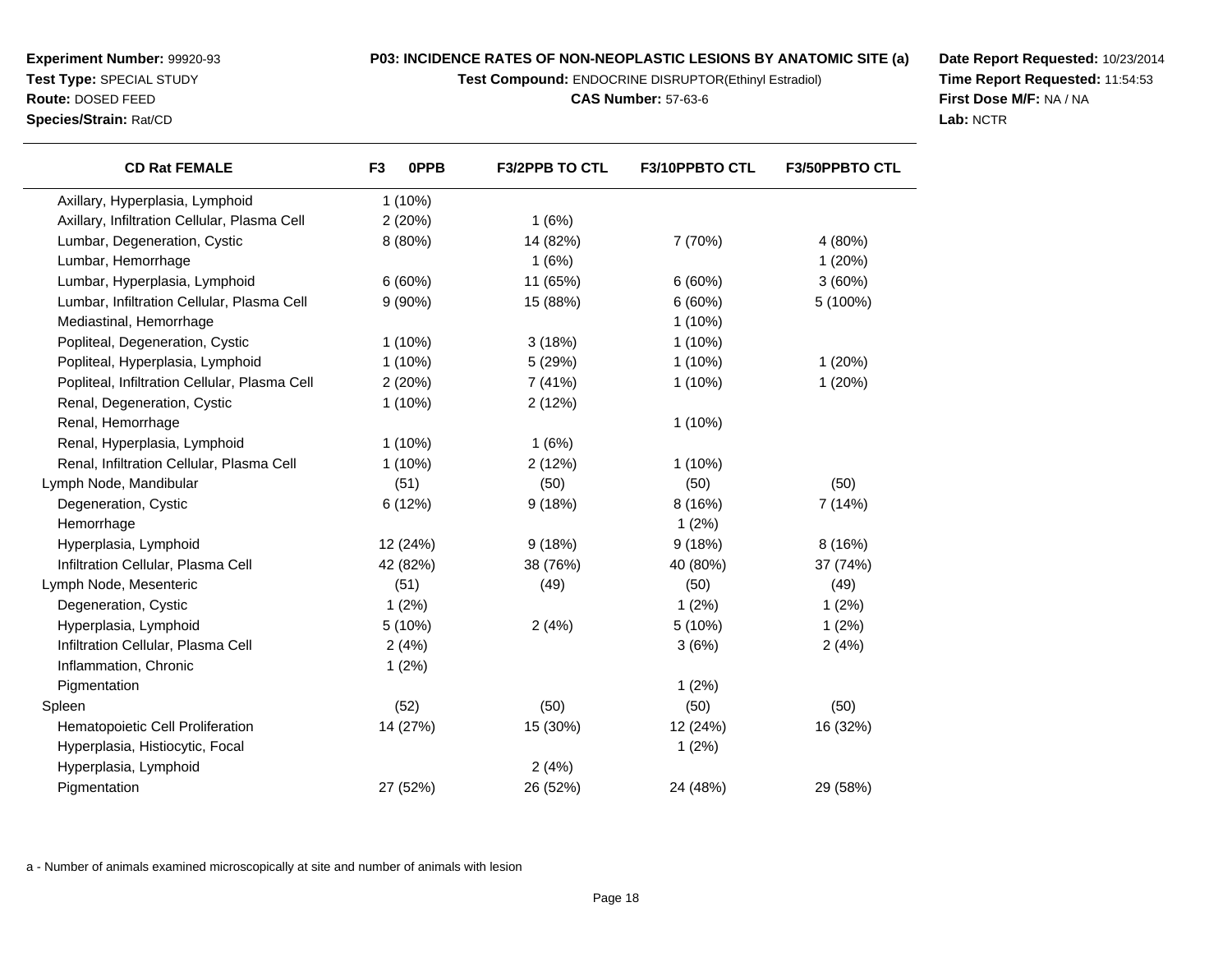**Test Compound:** ENDOCRINE DISRUPTOR(Ethinyl Estradiol)

**CAS Number:** 57-63-6

**Date Report Requested:** 10/23/2014**Time Report Requested:** 11:54:53**First Dose M/F:** NA / NA**Lab:** NCTR

| <b>CD Rat FEMALE</b>                          | F <sub>3</sub> | 0PPB<br><b>F3/2PPB TO CTL</b> | F3/10PPBTO CTL | F3/50PPBTO CTL |
|-----------------------------------------------|----------------|-------------------------------|----------------|----------------|
| Axillary, Hyperplasia, Lymphoid               | $1(10\%)$      |                               |                |                |
| Axillary, Infiltration Cellular, Plasma Cell  | 2(20%)         | 1(6%)                         |                |                |
| Lumbar, Degeneration, Cystic                  | 8 (80%)        | 14 (82%)                      | 7 (70%)        | 4 (80%)        |
| Lumbar, Hemorrhage                            |                | 1(6%)                         |                | 1(20%)         |
| Lumbar, Hyperplasia, Lymphoid                 | 6(60%)         | 11 (65%)                      | 6(60%)         | 3(60%)         |
| Lumbar, Infiltration Cellular, Plasma Cell    | $9(90\%)$      | 15 (88%)                      | 6(60%)         | 5 (100%)       |
| Mediastinal, Hemorrhage                       |                |                               | $1(10\%)$      |                |
| Popliteal, Degeneration, Cystic               | $1(10\%)$      | 3(18%)                        | $1(10\%)$      |                |
| Popliteal, Hyperplasia, Lymphoid              | $1(10\%)$      | 5 (29%)                       | $1(10\%)$      | 1(20%)         |
| Popliteal, Infiltration Cellular, Plasma Cell | 2(20%)         | 7 (41%)                       | $1(10\%)$      | 1(20%)         |
| Renal, Degeneration, Cystic                   | $1(10\%)$      | 2(12%)                        |                |                |
| Renal, Hemorrhage                             |                |                               | $1(10\%)$      |                |
| Renal, Hyperplasia, Lymphoid                  | $1(10\%)$      | 1(6%)                         |                |                |
| Renal, Infiltration Cellular, Plasma Cell     | $1(10\%)$      | 2(12%)                        | $1(10\%)$      |                |
| Lymph Node, Mandibular                        | (51)           | (50)                          | (50)           | (50)           |
| Degeneration, Cystic                          | 6(12%)         | 9(18%)                        | 8(16%)         | 7 (14%)        |
| Hemorrhage                                    |                |                               | 1(2%)          |                |
| Hyperplasia, Lymphoid                         | 12 (24%)       | 9(18%)                        | 9(18%)         | 8 (16%)        |
| Infiltration Cellular, Plasma Cell            | 42 (82%)       | 38 (76%)                      | 40 (80%)       | 37 (74%)       |
| Lymph Node, Mesenteric                        | (51)           | (49)                          | (50)           | (49)           |
| Degeneration, Cystic                          | 1(2%)          |                               | 1(2%)          | 1(2%)          |
| Hyperplasia, Lymphoid                         | 5 (10%)        | 2(4%)                         | 5 (10%)        | 1(2%)          |
| Infiltration Cellular, Plasma Cell            | 2(4%)          |                               | 3(6%)          | 2(4%)          |
| Inflammation, Chronic                         | 1(2%)          |                               |                |                |
| Pigmentation                                  |                |                               | 1(2%)          |                |
| Spleen                                        | (52)           | (50)                          | (50)           | (50)           |
| Hematopoietic Cell Proliferation              | 14 (27%)       | 15 (30%)                      | 12 (24%)       | 16 (32%)       |
| Hyperplasia, Histiocytic, Focal               |                |                               | 1(2%)          |                |
| Hyperplasia, Lymphoid                         |                | 2(4%)                         |                |                |
| Pigmentation                                  | 27 (52%)       | 26 (52%)                      | 24 (48%)       | 29 (58%)       |
|                                               |                |                               |                |                |

a - Number of animals examined microscopically at site and number of animals with lesion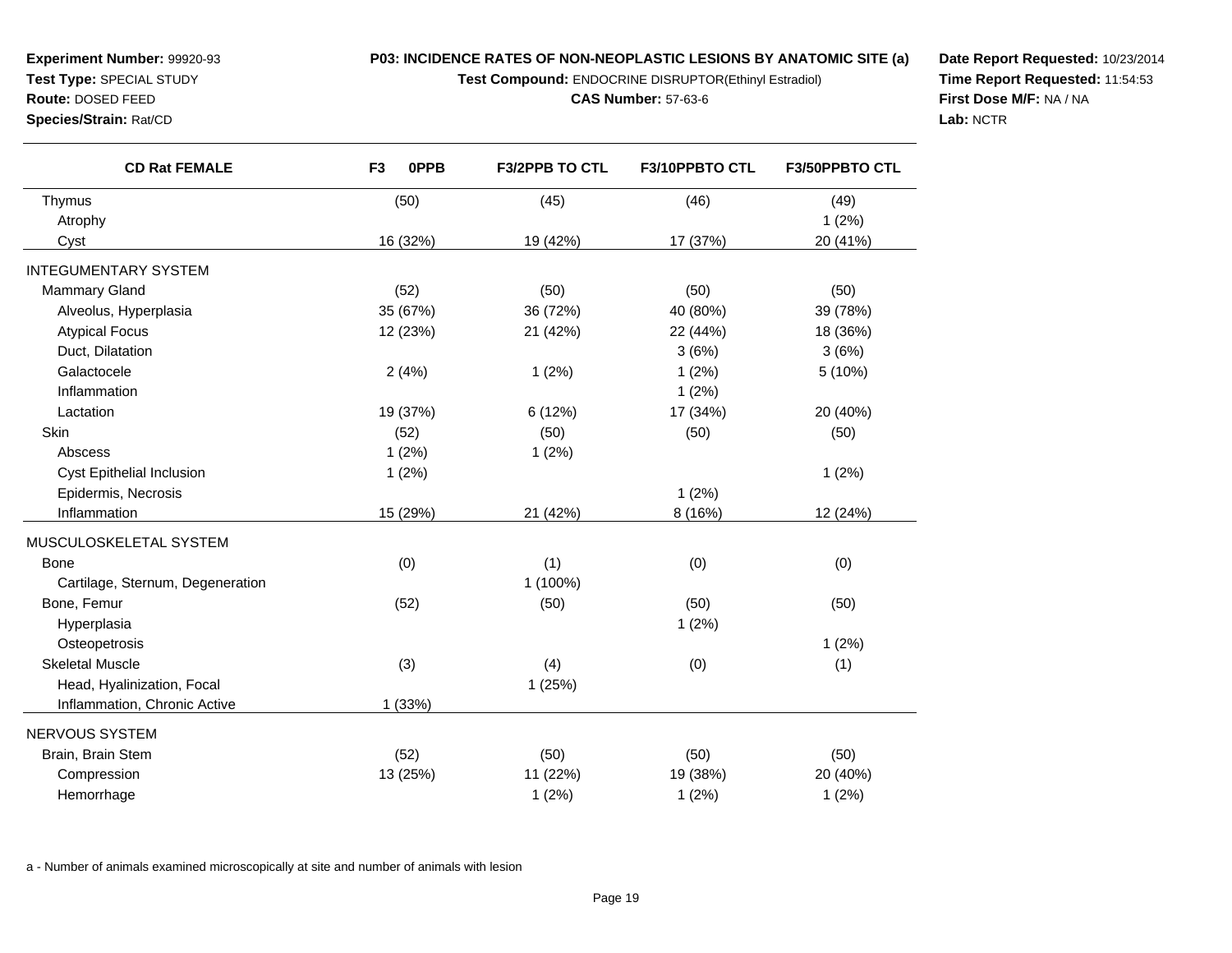**Test Compound:** ENDOCRINE DISRUPTOR(Ethinyl Estradiol)

#### **CAS Number:** 57-63-6

**Date Report Requested:** 10/23/2014**Time Report Requested:** 11:54:53**First Dose M/F:** NA / NA**Lab:** NCTR

| <b>CD Rat FEMALE</b>             | F <sub>3</sub><br>0PPB | F3/2PPB TO CTL | F3/10PPBTO CTL | F3/50PPBTO CTL |
|----------------------------------|------------------------|----------------|----------------|----------------|
| Thymus                           | (50)                   | (45)           | (46)           | (49)           |
| Atrophy                          |                        |                |                | 1(2%)          |
| Cyst                             | 16 (32%)               | 19 (42%)       | 17 (37%)       | 20 (41%)       |
| <b>INTEGUMENTARY SYSTEM</b>      |                        |                |                |                |
| Mammary Gland                    | (52)                   | (50)           | (50)           | (50)           |
| Alveolus, Hyperplasia            | 35 (67%)               | 36 (72%)       | 40 (80%)       | 39 (78%)       |
| <b>Atypical Focus</b>            | 12 (23%)               | 21 (42%)       | 22 (44%)       | 18 (36%)       |
| Duct, Dilatation                 |                        |                | 3(6%)          | 3(6%)          |
| Galactocele                      | 2(4%)                  | 1(2%)          | 1(2%)          | 5 (10%)        |
| Inflammation                     |                        |                | 1(2%)          |                |
| Lactation                        | 19 (37%)               | 6 (12%)        | 17 (34%)       | 20 (40%)       |
| Skin                             | (52)                   | (50)           | (50)           | (50)           |
| Abscess                          | 1(2%)                  | 1(2%)          |                |                |
| Cyst Epithelial Inclusion        | 1(2%)                  |                |                | 1(2%)          |
| Epidermis, Necrosis              |                        |                | 1(2%)          |                |
| Inflammation                     | 15 (29%)               | 21 (42%)       | 8 (16%)        | 12 (24%)       |
| MUSCULOSKELETAL SYSTEM           |                        |                |                |                |
| <b>Bone</b>                      | (0)                    | (1)            | (0)            | (0)            |
| Cartilage, Sternum, Degeneration |                        | 1 (100%)       |                |                |
| Bone, Femur                      | (52)                   | (50)           | (50)           | (50)           |
| Hyperplasia                      |                        |                | 1(2%)          |                |
| Osteopetrosis                    |                        |                |                | 1(2%)          |
| <b>Skeletal Muscle</b>           | (3)                    | (4)            | (0)            | (1)            |
| Head, Hyalinization, Focal       |                        | 1(25%)         |                |                |
| Inflammation, Chronic Active     | 1 (33%)                |                |                |                |
| NERVOUS SYSTEM                   |                        |                |                |                |
| Brain, Brain Stem                | (52)                   | (50)           | (50)           | (50)           |
| Compression                      | 13 (25%)               | 11 (22%)       | 19 (38%)       | 20 (40%)       |
| Hemorrhage                       |                        | 1(2%)          | 1(2%)          | 1(2%)          |

a - Number of animals examined microscopically at site and number of animals with lesion

**Experiment Number:** 99920-93**Test Type:** SPECIAL STUDY**Route:** DOSED FEED**Species/Strain:** Rat/CD

 $\overline{\phantom{0}}$ 

<u>Lind</u>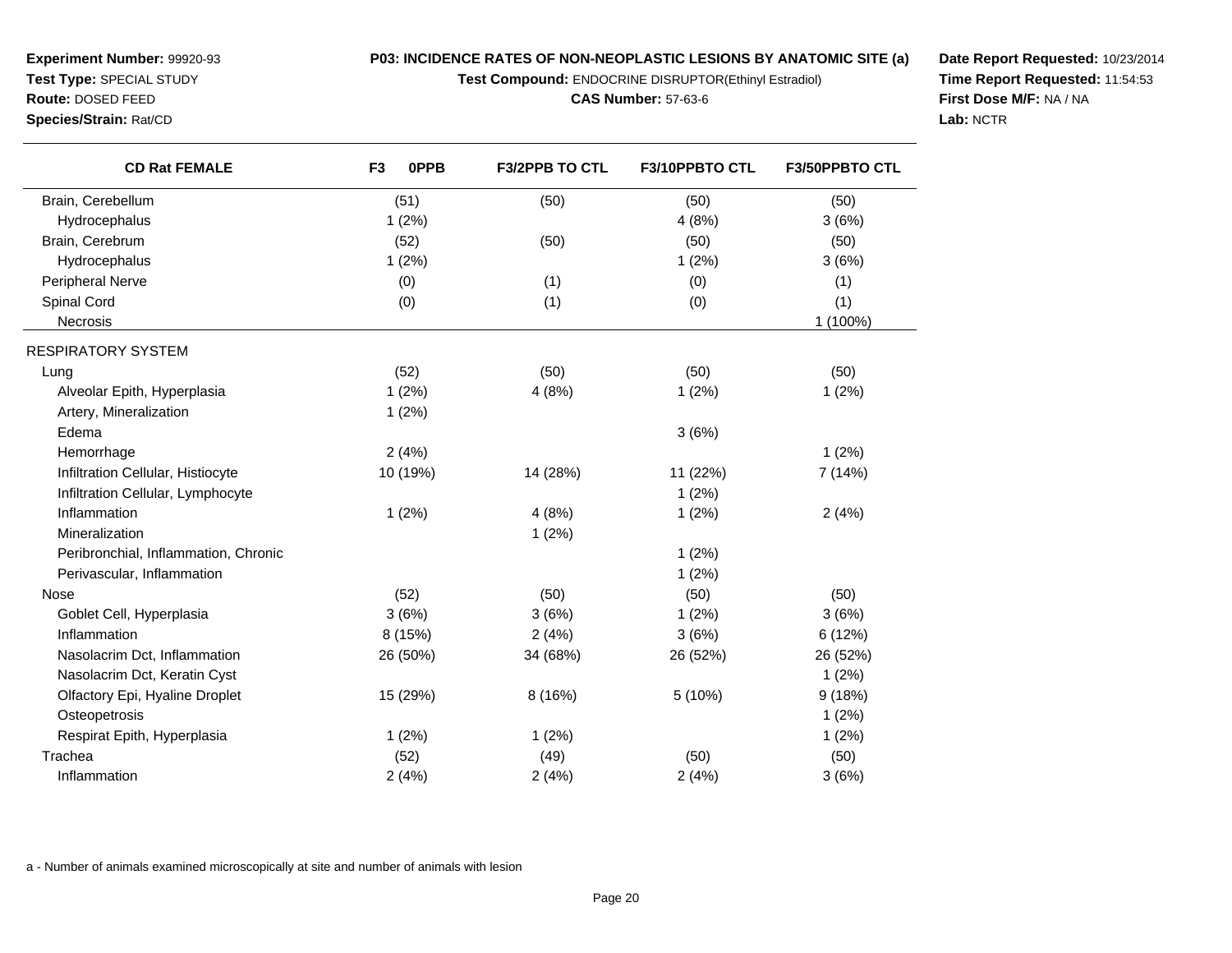**Test Compound:** ENDOCRINE DISRUPTOR(Ethinyl Estradiol)

**CAS Number:** 57-63-6

**Date Report Requested:** 10/23/2014**Time Report Requested:** 11:54:53**First Dose M/F:** NA / NA**Lab:** NCTR

| <b>CD Rat FEMALE</b>                 | F <sub>3</sub><br><b>OPPB</b> | <b>F3/2PPB TO CTL</b> | F3/10PPBTO CTL | F3/50PPBTO CTL |
|--------------------------------------|-------------------------------|-----------------------|----------------|----------------|
| Brain, Cerebellum                    | (51)                          | (50)                  | (50)           | (50)           |
| Hydrocephalus                        | 1(2%)                         |                       | 4(8%)          | 3(6%)          |
| Brain, Cerebrum                      | (52)                          | (50)                  | (50)           | (50)           |
| Hydrocephalus                        | 1(2%)                         |                       | 1(2%)          | 3(6%)          |
| Peripheral Nerve                     | (0)                           | (1)                   | (0)            | (1)            |
| Spinal Cord                          | (0)                           | (1)                   | (0)            | (1)            |
| Necrosis                             |                               |                       |                | 1 (100%)       |
| RESPIRATORY SYSTEM                   |                               |                       |                |                |
| Lung                                 | (52)                          | (50)                  | (50)           | (50)           |
| Alveolar Epith, Hyperplasia          | 1(2%)                         | 4(8%)                 | 1(2%)          | 1(2%)          |
| Artery, Mineralization               | 1(2%)                         |                       |                |                |
| Edema                                |                               |                       | 3(6%)          |                |
| Hemorrhage                           | 2(4%)                         |                       |                | 1(2%)          |
| Infiltration Cellular, Histiocyte    | 10 (19%)                      | 14 (28%)              | 11 (22%)       | 7 (14%)        |
| Infiltration Cellular, Lymphocyte    |                               |                       | 1(2%)          |                |
| Inflammation                         | 1(2%)                         | 4(8%)                 | 1(2%)          | 2(4%)          |
| Mineralization                       |                               | 1(2%)                 |                |                |
| Peribronchial, Inflammation, Chronic |                               |                       | 1(2%)          |                |
| Perivascular, Inflammation           |                               |                       | 1(2%)          |                |
| <b>Nose</b>                          | (52)                          | (50)                  | (50)           | (50)           |
| Goblet Cell, Hyperplasia             | 3(6%)                         | 3(6%)                 | 1(2%)          | 3(6%)          |
| Inflammation                         | 8 (15%)                       | 2(4%)                 | 3(6%)          | 6 (12%)        |
| Nasolacrim Dct, Inflammation         | 26 (50%)                      | 34 (68%)              | 26 (52%)       | 26 (52%)       |
| Nasolacrim Dct, Keratin Cyst         |                               |                       |                | 1(2%)          |
| Olfactory Epi, Hyaline Droplet       | 15 (29%)                      | 8(16%)                | 5 (10%)        | 9(18%)         |
| Osteopetrosis                        |                               |                       |                | 1(2%)          |
| Respirat Epith, Hyperplasia          | 1(2%)                         | 1(2%)                 |                | 1(2%)          |
| Trachea                              | (52)                          | (49)                  | (50)           | (50)           |
| Inflammation                         | 2(4%)                         | 2(4%)                 | 2(4%)          | 3(6%)          |

a - Number of animals examined microscopically at site and number of animals with lesion

**Experiment Number:** 99920-93**Test Type:** SPECIAL STUDY**Route:** DOSED FEED**Species/Strain:** Rat/CD

 $\overline{\phantom{0}}$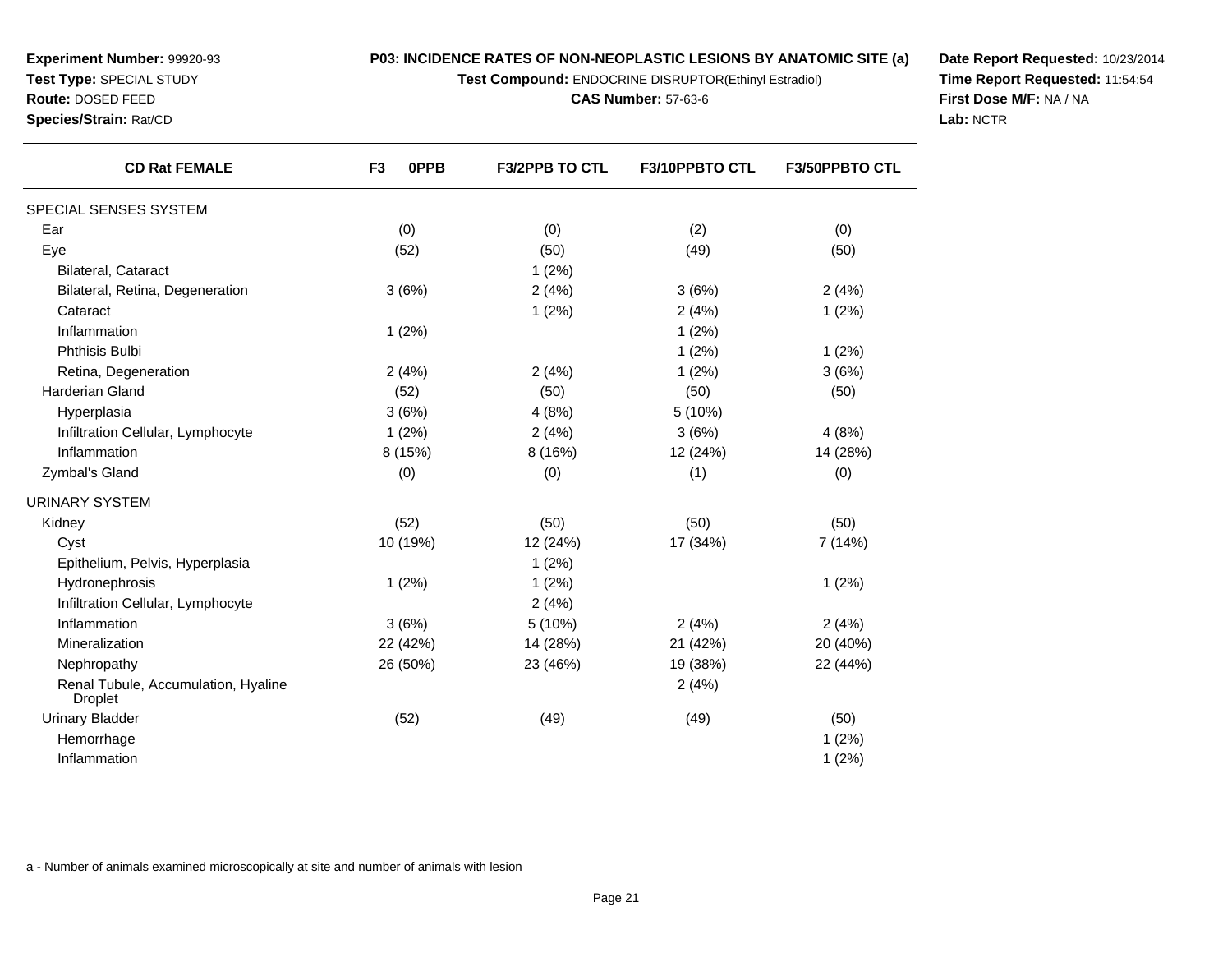**Test Compound:** ENDOCRINE DISRUPTOR(Ethinyl Estradiol)

**CAS Number:** 57-63-6

**Date Report Requested:** 10/23/2014**Time Report Requested:** 11:54:54**First Dose M/F:** NA / NA**Lab:** NCTR

| <b>CD Rat FEMALE</b>                                  | F <sub>3</sub><br>0PPB | <b>F3/2PPB TO CTL</b> | F3/10PPBTO CTL | <b>F3/50PPBTO CTL</b> |
|-------------------------------------------------------|------------------------|-----------------------|----------------|-----------------------|
| SPECIAL SENSES SYSTEM                                 |                        |                       |                |                       |
| Ear                                                   | (0)                    | (0)                   | (2)            | (0)                   |
| Eye                                                   | (52)                   | (50)                  | (49)           | (50)                  |
| Bilateral, Cataract                                   |                        | 1(2%)                 |                |                       |
| Bilateral, Retina, Degeneration                       | 3(6%)                  | 2(4%)                 | 3(6%)          | 2(4%)                 |
| Cataract                                              |                        | 1(2%)                 | 2(4%)          | 1(2%)                 |
| Inflammation                                          | 1(2%)                  |                       | 1(2%)          |                       |
| Phthisis Bulbi                                        |                        |                       | 1(2%)          | 1(2%)                 |
| Retina, Degeneration                                  | 2(4%)                  | 2(4%)                 | 1(2%)          | 3(6%)                 |
| <b>Harderian Gland</b>                                | (52)                   | (50)                  | (50)           | (50)                  |
| Hyperplasia                                           | 3(6%)                  | 4(8%)                 | 5(10%)         |                       |
| Infiltration Cellular, Lymphocyte                     | 1(2%)                  | 2(4%)                 | 3(6%)          | 4(8%)                 |
| Inflammation                                          | 8 (15%)                | 8 (16%)               | 12 (24%)       | 14 (28%)              |
| Zymbal's Gland                                        | (0)                    | (0)                   | (1)            | (0)                   |
| URINARY SYSTEM                                        |                        |                       |                |                       |
| Kidney                                                | (52)                   | (50)                  | (50)           | (50)                  |
| Cyst                                                  | 10 (19%)               | 12 (24%)              | 17 (34%)       | 7(14%)                |
| Epithelium, Pelvis, Hyperplasia                       |                        | 1(2%)                 |                |                       |
| Hydronephrosis                                        | 1(2%)                  | 1(2%)                 |                | 1(2%)                 |
| Infiltration Cellular, Lymphocyte                     |                        | 2(4%)                 |                |                       |
| Inflammation                                          | 3(6%)                  | 5 (10%)               | 2(4%)          | 2(4%)                 |
| Mineralization                                        | 22 (42%)               | 14 (28%)              | 21 (42%)       | 20 (40%)              |
| Nephropathy                                           | 26 (50%)               | 23 (46%)              | 19 (38%)       | 22 (44%)              |
| Renal Tubule, Accumulation, Hyaline<br><b>Droplet</b> |                        |                       | 2(4%)          |                       |
| <b>Urinary Bladder</b>                                | (52)                   | (49)                  | (49)           | (50)                  |
| Hemorrhage                                            |                        |                       |                | 1(2%)                 |
| Inflammation                                          |                        |                       |                | 1(2%)                 |

a - Number of animals examined microscopically at site and number of animals with lesion